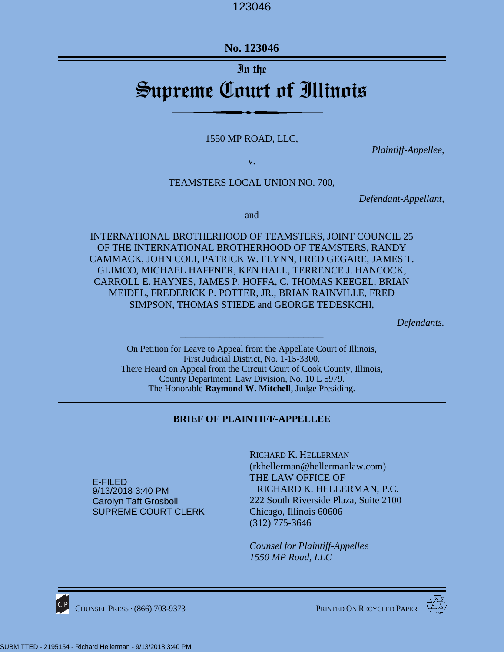## **No. 123046**

# In the Supreme Court of Illinois

#### 1550 MP ROAD, LLC,

*Plaintiff-Appellee,*

v.

TEAMSTERS LOCAL UNION NO. 700,

*Defendant-Appellant,*

and

INTERNATIONAL BROTHERHOOD OF TEAMSTERS, JOINT COUNCIL 25 OF THE INTERNATIONAL BROTHERHOOD OF TEAMSTERS, RANDY CAMMACK, JOHN COLI, PATRICK W. FLYNN, FRED GEGARE, JAMES T. GLIMCO, MICHAEL HAFFNER, KEN HALL, TERRENCE J. HANCOCK, CARROLL E. HAYNES, JAMES P. HOFFA, C. THOMAS KEEGEL, BRIAN MEIDEL, FREDERICK P. POTTER, JR., BRIAN RAINVILLE, FRED SIMPSON, THOMAS STIEDE and GEORGE TEDESKCHI,

*Defendants.*

On Petition for Leave to Appeal from the Appellate Court of Illinois, First Judicial District, No. 1-15-3300. There Heard on Appeal from the Circuit Court of Cook County, Illinois, County Department, Law Division, No. 10 L 5979. The Honorable **Raymond W. Mitchell**, Judge Presiding.

*\_\_\_\_\_\_\_\_\_\_\_\_\_\_\_\_\_\_\_\_\_\_\_\_\_\_\_\_\_*

### **BRIEF OF PLAINTIFF-APPELLEE**

E-FILED 9/13/2018 3:40 PM Carolyn Taft Grosboll SUPREME COURT CLERK

RICHARD K. HELLERMAN (rkhellerman@hellermanlaw.com) THE LAW OFFICE OF RICHARD K. HELLERMAN, P.C. 222 South Riverside Plaza, Suite 2100 Chicago, Illinois 60606 (312) 775-3646

*Counsel for Plaintiff-Appellee 1550 MP Road, LLC*



COUNSEL PRESS ∙ (866) 703-9373 PRINTED ON RECYCLED PAPER

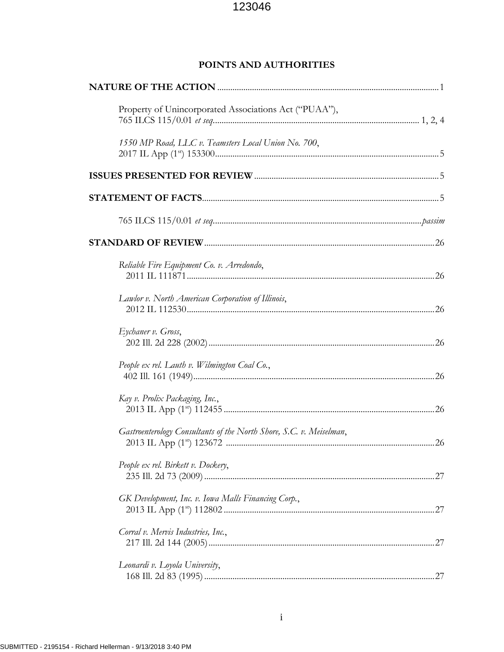## POINTS AND AUTHORITIES

| Property of Unincorporated Associations Act ("PUAA"),               |
|---------------------------------------------------------------------|
| 1550 MP Road, LLC v. Teamsters Local Union No. 700,                 |
|                                                                     |
|                                                                     |
|                                                                     |
|                                                                     |
| Reliable Fire Equipment Co. v. Arredondo,                           |
| Lawlor v. North American Corporation of Illinois,                   |
| Eychaner v. Gross,                                                  |
| People ex rel. Lauth v. Wilmington Coal Co.,                        |
| Kay v. Prolix Packaging, Inc.,                                      |
| Gastroenterology Consultants of the North Shore, S.C. v. Meiselman, |
| People ex rel. Birkett v. Dockery,                                  |
| GK Development, Inc. v. Iowa Malls Financing Corp.,                 |
| Corral v. Mervis Industries, Inc.,                                  |
| Leonardi v. Loyola University,                                      |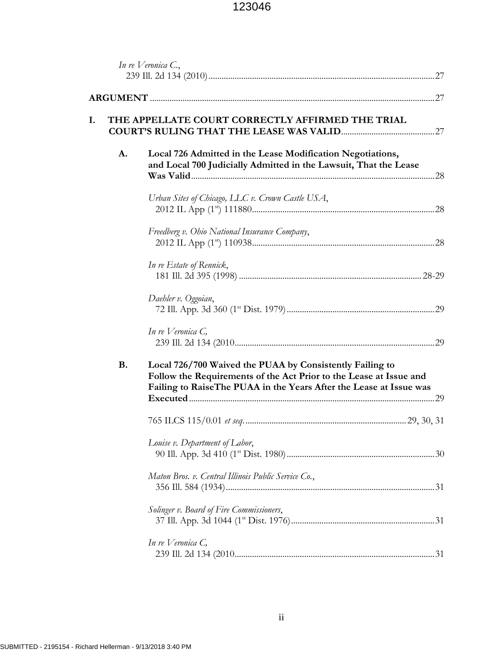|    |           | In re Veronica $C$ .,                                                                                                                                                                                |
|----|-----------|------------------------------------------------------------------------------------------------------------------------------------------------------------------------------------------------------|
|    |           |                                                                                                                                                                                                      |
| I. |           | THE APPELLATE COURT CORRECTLY AFFIRMED THE TRIAL                                                                                                                                                     |
|    | A.        | Local 726 Admitted in the Lease Modification Negotiations,<br>and Local 700 Judicially Admitted in the Lawsuit, That the Lease                                                                       |
|    |           | Urban Sites of Chicago, LLC v. Crown Castle USA,                                                                                                                                                     |
|    |           | Freedberg v. Ohio National Insurance Company,                                                                                                                                                        |
|    |           | In re Estate of Rennick,                                                                                                                                                                             |
|    |           | Daehler v. Oggoian,                                                                                                                                                                                  |
|    |           | In re Veronica C,                                                                                                                                                                                    |
|    | <b>B.</b> | Local 726/700 Waived the PUAA by Consistently Failing to<br>Follow the Requirements of the Act Prior to the Lease at Issue and<br>Failing to RaiseThe PUAA in the Years After the Lease at Issue was |
|    |           |                                                                                                                                                                                                      |
|    |           | Louise v. Department of Labor,                                                                                                                                                                       |
|    |           | Maton Bros. v. Central Illinois Public Service Co.,                                                                                                                                                  |
|    |           | Solinger v. Board of Fire Commissioners,                                                                                                                                                             |
|    |           | In re Veronica C,                                                                                                                                                                                    |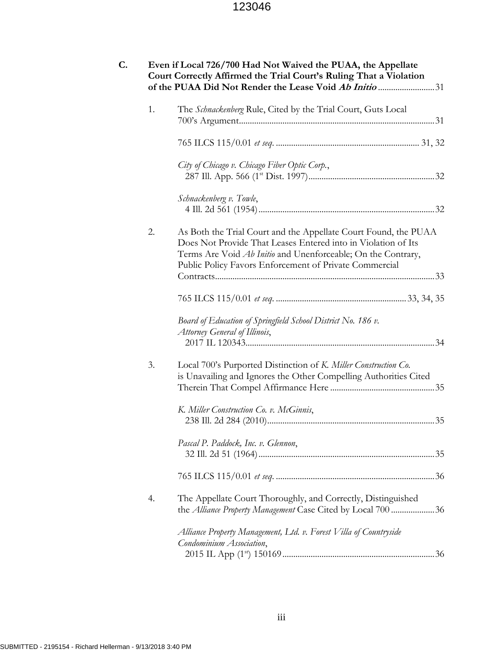|    | Even if Local 726/700 Had Not Waived the PUAA, the Appellate<br>Court Correctly Affirmed the Trial Court's Ruling That a Violation<br>of the PUAA Did Not Render the Lease Void Ab Initio 31                                                               |
|----|------------------------------------------------------------------------------------------------------------------------------------------------------------------------------------------------------------------------------------------------------------|
| 1. | The Schnackenberg Rule, Cited by the Trial Court, Guts Local                                                                                                                                                                                               |
|    |                                                                                                                                                                                                                                                            |
|    | City of Chicago v. Chicago Fiber Optic Corp.,                                                                                                                                                                                                              |
|    | Schnackenberg v. Towle,                                                                                                                                                                                                                                    |
| 2. | As Both the Trial Court and the Appellate Court Found, the PUAA<br>Does Not Provide That Leases Entered into in Violation of Its<br>Terms Are Void Ab Initio and Unenforceable; On the Contrary,<br>Public Policy Favors Enforcement of Private Commercial |
|    |                                                                                                                                                                                                                                                            |
|    |                                                                                                                                                                                                                                                            |
|    | Board of Education of Springfield School District No. 186 v.<br>Attorney General of Illinois,                                                                                                                                                              |
| 3. | Local 700's Purported Distinction of K. Miller Construction Co.<br>is Unavailing and Ignores the Other Compelling Authorities Cited                                                                                                                        |
|    | K. Miller Construction Co. v. McGinnis,                                                                                                                                                                                                                    |
|    | Pascal P. Paddock, Inc. v. Glennon,                                                                                                                                                                                                                        |
|    |                                                                                                                                                                                                                                                            |
| 4. | The Appellate Court Thoroughly, and Correctly, Distinguished<br>the Alliance Property Management Case Cited by Local 700 36                                                                                                                                |
|    | Alliance Property Management, Ltd. v. Forest Villa of Countryside<br>Condominium Association,                                                                                                                                                              |
|    |                                                                                                                                                                                                                                                            |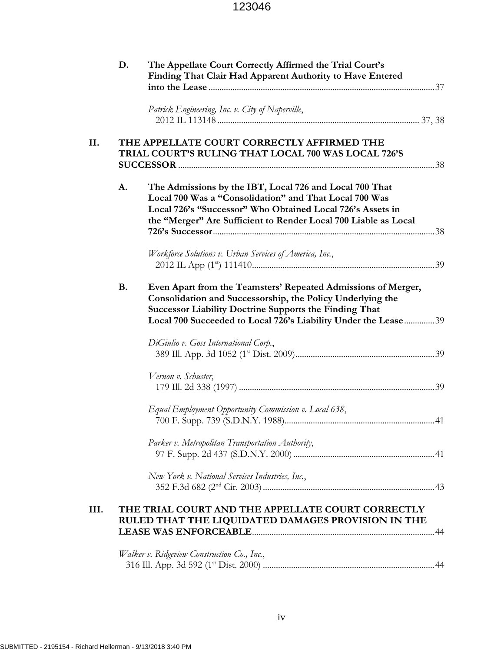| Patrick Engineering, Inc. v. City of Naperville,<br>THE APPELLATE COURT CORRECTLY AFFIRMED THE                                                                                                                                                                              |  |
|-----------------------------------------------------------------------------------------------------------------------------------------------------------------------------------------------------------------------------------------------------------------------------|--|
|                                                                                                                                                                                                                                                                             |  |
| TRIAL COURT'S RULING THAT LOCAL 700 WAS LOCAL 726'S                                                                                                                                                                                                                         |  |
| A.<br>The Admissions by the IBT, Local 726 and Local 700 That<br>Local 700 Was a "Consolidation" and That Local 700 Was<br>Local 726's "Successor" Who Obtained Local 726's Assets in<br>the "Merger" Are Sufficient to Render Local 700 Liable as Local                    |  |
| Workforce Solutions v. Urban Services of America, Inc.,                                                                                                                                                                                                                     |  |
| <b>B.</b><br>Even Apart from the Teamsters' Repeated Admissions of Merger,<br>Consolidation and Successorship, the Policy Underlying the<br><b>Successor Liability Doctrine Supports the Finding That</b><br>Local 700 Succeeded to Local 726's Liability Under the Lease39 |  |
| DiGiulio v. Goss International Corp.,                                                                                                                                                                                                                                       |  |
| Vernon v. Schuster,                                                                                                                                                                                                                                                         |  |
| Equal Employment Opportunity Commission v. Local 638,                                                                                                                                                                                                                       |  |
| Parker v. Metropolitan Transportation Authority,                                                                                                                                                                                                                            |  |
| New York v. National Services Industries, Inc.,                                                                                                                                                                                                                             |  |
| THE TRIAL COURT AND THE APPELLATE COURT CORRECTLY<br>RULED THAT THE LIQUIDATED DAMAGES PROVISION IN THE                                                                                                                                                                     |  |
| Walker v. Ridgeview Construction Co., Inc.,                                                                                                                                                                                                                                 |  |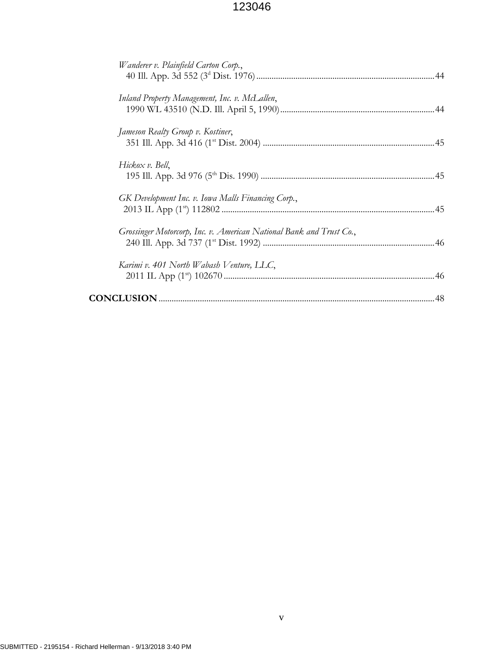| Wanderer v. Plainfield Carton Corp.,                                |  |
|---------------------------------------------------------------------|--|
| Inland Property Management, Inc. v. McLallen,                       |  |
| Jameson Realty Group v. Kostiner,                                   |  |
| Hickox v. Bell,                                                     |  |
| GK Development Inc. v. Iowa Malls Financing Corp.,                  |  |
| Grossinger Motorcorp, Inc. v. American National Bank and Trust Co., |  |
| Karimi v. 401 North Wabash Venture, LLC,                            |  |
|                                                                     |  |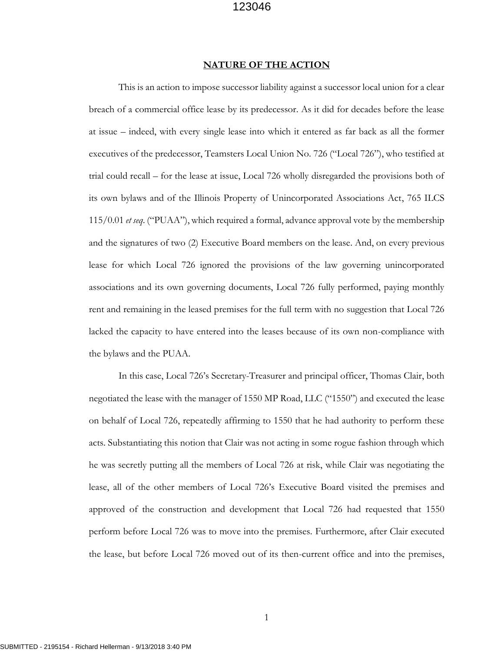#### **NATURE OF THE ACTION**

This is an action to impose successor liability against a successor local union for a clear breach of a commercial office lease by its predecessor. As it did for decades before the lease at issue – indeed, with every single lease into which it entered as far back as all the former executives of the predecessor, Teamsters Local Union No. 726 ("Local 726"), who testified at trial could recall – for the lease at issue, Local 726 wholly disregarded the provisions both of its own bylaws and of the Illinois Property of Unincorporated Associations Act, 765 ILCS 115/0.01 *et seq*. ("PUAA"), which required a formal, advance approval vote by the membership and the signatures of two (2) Executive Board members on the lease. And, on every previous lease for which Local 726 ignored the provisions of the law governing unincorporated associations and its own governing documents, Local 726 fully performed, paying monthly rent and remaining in the leased premises for the full term with no suggestion that Local 726 lacked the capacity to have entered into the leases because of its own non-compliance with the bylaws and the PUAA.

In this case, Local 726's Secretary-Treasurer and principal officer, Thomas Clair, both negotiated the lease with the manager of 1550 MP Road, LLC ("1550") and executed the lease on behalf of Local 726, repeatedly affirming to 1550 that he had authority to perform these acts. Substantiating this notion that Clair was not acting in some rogue fashion through which he was secretly putting all the members of Local 726 at risk, while Clair was negotiating the lease, all of the other members of Local 726's Executive Board visited the premises and approved of the construction and development that Local 726 had requested that 1550 perform before Local 726 was to move into the premises. Furthermore, after Clair executed the lease, but before Local 726 moved out of its then-current office and into the premises,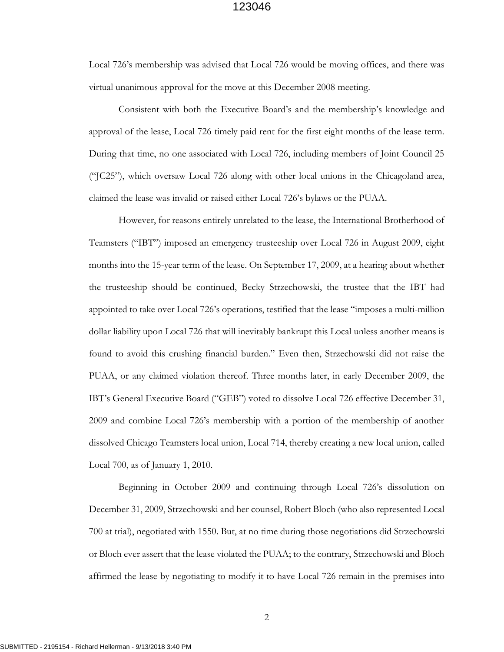Local 726's membership was advised that Local 726 would be moving offices, and there was virtual unanimous approval for the move at this December 2008 meeting.

Consistent with both the Executive Board's and the membership's knowledge and approval of the lease, Local 726 timely paid rent for the first eight months of the lease term. During that time, no one associated with Local 726, including members of Joint Council 25 ("JC25"), which oversaw Local 726 along with other local unions in the Chicagoland area, claimed the lease was invalid or raised either Local 726's bylaws or the PUAA.

However, for reasons entirely unrelated to the lease, the International Brotherhood of Teamsters ("IBT") imposed an emergency trusteeship over Local 726 in August 2009, eight months into the 15-year term of the lease. On September 17, 2009, at a hearing about whether the trusteeship should be continued, Becky Strzechowski, the trustee that the IBT had appointed to take over Local 726's operations, testified that the lease "imposes a multi-million dollar liability upon Local 726 that will inevitably bankrupt this Local unless another means is found to avoid this crushing financial burden." Even then, Strzechowski did not raise the PUAA, or any claimed violation thereof. Three months later, in early December 2009, the IBT's General Executive Board ("GEB") voted to dissolve Local 726 effective December 31, 2009 and combine Local 726's membership with a portion of the membership of another dissolved Chicago Teamsters local union, Local 714, thereby creating a new local union, called Local 700, as of January 1, 2010.

Beginning in October 2009 and continuing through Local 726's dissolution on December 31, 2009, Strzechowski and her counsel, Robert Bloch (who also represented Local 700 at trial), negotiated with 1550. But, at no time during those negotiations did Strzechowski or Bloch ever assert that the lease violated the PUAA; to the contrary, Strzechowski and Bloch affirmed the lease by negotiating to modify it to have Local 726 remain in the premises into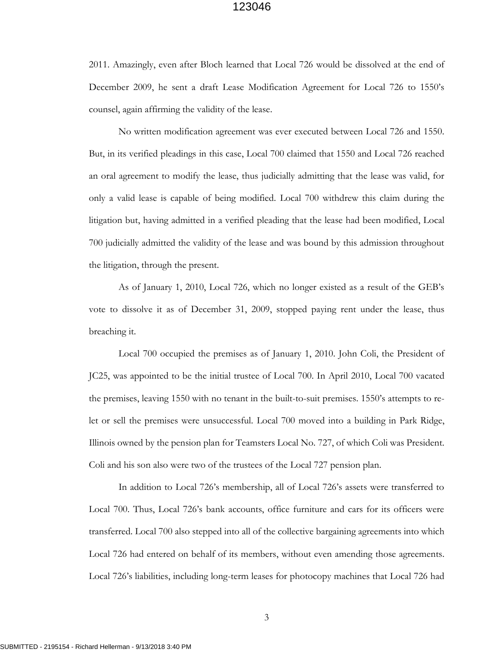2011. Amazingly, even after Bloch learned that Local 726 would be dissolved at the end of December 2009, he sent a draft Lease Modification Agreement for Local 726 to 1550's counsel, again affirming the validity of the lease.

No written modification agreement was ever executed between Local 726 and 1550. But, in its verified pleadings in this case, Local 700 claimed that 1550 and Local 726 reached an oral agreement to modify the lease, thus judicially admitting that the lease was valid, for only a valid lease is capable of being modified. Local 700 withdrew this claim during the litigation but, having admitted in a verified pleading that the lease had been modified, Local 700 judicially admitted the validity of the lease and was bound by this admission throughout the litigation, through the present.

As of January 1, 2010, Local 726, which no longer existed as a result of the GEB's vote to dissolve it as of December 31, 2009, stopped paying rent under the lease, thus breaching it.

Local 700 occupied the premises as of January 1, 2010. John Coli, the President of JC25, was appointed to be the initial trustee of Local 700. In April 2010, Local 700 vacated the premises, leaving 1550 with no tenant in the built-to-suit premises. 1550's attempts to relet or sell the premises were unsuccessful. Local 700 moved into a building in Park Ridge, Illinois owned by the pension plan for Teamsters Local No. 727, of which Coli was President. Coli and his son also were two of the trustees of the Local 727 pension plan.

In addition to Local 726's membership, all of Local 726's assets were transferred to Local 700. Thus, Local 726's bank accounts, office furniture and cars for its officers were transferred. Local 700 also stepped into all of the collective bargaining agreements into which Local 726 had entered on behalf of its members, without even amending those agreements. Local 726's liabilities, including long-term leases for photocopy machines that Local 726 had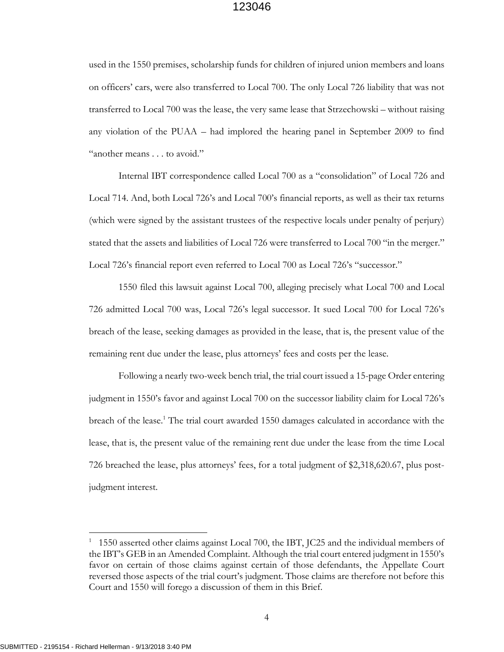used in the 1550 premises, scholarship funds for children of injured union members and loans on officers' cars, were also transferred to Local 700. The only Local 726 liability that was not transferred to Local 700 was the lease, the very same lease that Strzechowski – without raising any violation of the PUAA – had implored the hearing panel in September 2009 to find "another means . . . to avoid."

Internal IBT correspondence called Local 700 as a "consolidation" of Local 726 and Local 714. And, both Local 726's and Local 700's financial reports, as well as their tax returns (which were signed by the assistant trustees of the respective locals under penalty of perjury) stated that the assets and liabilities of Local 726 were transferred to Local 700 "in the merger." Local 726's financial report even referred to Local 700 as Local 726's "successor."

1550 filed this lawsuit against Local 700, alleging precisely what Local 700 and Local 726 admitted Local 700 was, Local 726's legal successor. It sued Local 700 for Local 726's breach of the lease, seeking damages as provided in the lease, that is, the present value of the remaining rent due under the lease, plus attorneys' fees and costs per the lease.

Following a nearly two-week bench trial, the trial court issued a 15-page Order entering judgment in 1550's favor and against Local 700 on the successor liability claim for Local 726's breach of the lease.<sup>1</sup> The trial court awarded 1550 damages calculated in accordance with the lease, that is, the present value of the remaining rent due under the lease from the time Local 726 breached the lease, plus attorneys' fees, for a total judgment of \$2,318,620.67, plus postjudgment interest.

<sup>&</sup>lt;sup>1</sup> 1550 asserted other claims against Local 700, the IBT, JC25 and the individual members of the IBT's GEB in an Amended Complaint. Although the trial court entered judgment in 1550's favor on certain of those claims against certain of those defendants, the Appellate Court reversed those aspects of the trial court's judgment. Those claims are therefore not before this Court and 1550 will forego a discussion of them in this Brief.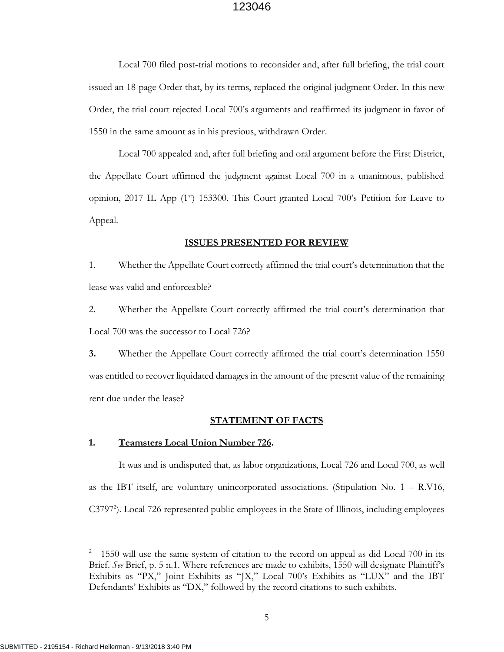Local 700 filed post-trial motions to reconsider and, after full briefing, the trial court issued an 18-page Order that, by its terms, replaced the original judgment Order. In this new Order, the trial court rejected Local 700's arguments and reaffirmed its judgment in favor of 1550 in the same amount as in his previous, withdrawn Order.

Local 700 appealed and, after full briefing and oral argument before the First District, the Appellate Court affirmed the judgment against Local 700 in a unanimous, published opinion, 2017 IL App (1st) 153300. This Court granted Local 700's Petition for Leave to Appeal.

#### **ISSUES PRESENTED FOR REVIEW**

1. Whether the Appellate Court correctly affirmed the trial court's determination that the lease was valid and enforceable?

2. Whether the Appellate Court correctly affirmed the trial court's determination that Local 700 was the successor to Local 726?

**3.** Whether the Appellate Court correctly affirmed the trial court's determination 1550 was entitled to recover liquidated damages in the amount of the present value of the remaining rent due under the lease?

#### **STATEMENT OF FACTS**

#### **1. Teamsters Local Union Number 726.**

It was and is undisputed that, as labor organizations, Local 726 and Local 700, as well as the IBT itself, are voluntary unincorporated associations. (Stipulation No.  $1 - R.V16$ , C3797<sup>2</sup>). Local 726 represented public employees in the State of Illinois, including employees

<sup>&</sup>lt;sup>2</sup> 1550 will use the same system of citation to the record on appeal as did Local 700 in its Brief. *See* Brief, p. 5 n.1. Where references are made to exhibits, 1550 will designate Plaintiff's Exhibits as "PX," Joint Exhibits as "JX," Local 700's Exhibits as "LUX" and the IBT Defendants' Exhibits as "DX," followed by the record citations to such exhibits.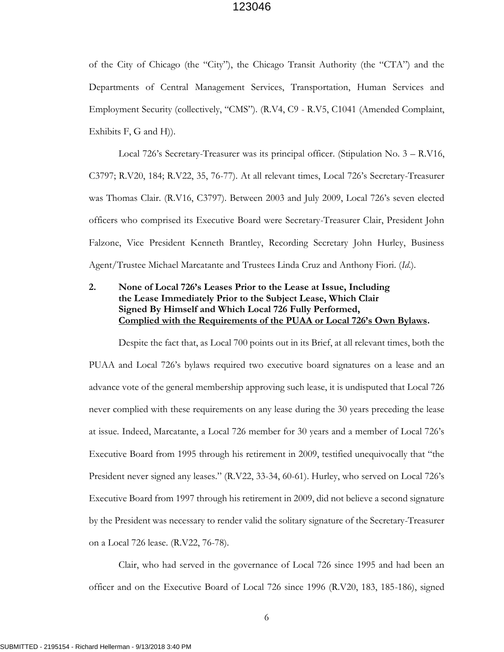of the City of Chicago (the "City"), the Chicago Transit Authority (the "CTA") and the Departments of Central Management Services, Transportation, Human Services and Employment Security (collectively, "CMS"). (R.V4, C9 - R.V5, C1041 (Amended Complaint, Exhibits F, G and H)).

Local 726's Secretary-Treasurer was its principal officer. (Stipulation No. 3 – R.V16, C3797; R.V20, 184; R.V22, 35, 76-77). At all relevant times, Local 726's Secretary-Treasurer was Thomas Clair. (R.V16, C3797). Between 2003 and July 2009, Local 726's seven elected officers who comprised its Executive Board were Secretary-Treasurer Clair, President John Falzone, Vice President Kenneth Brantley, Recording Secretary John Hurley, Business Agent/Trustee Michael Marcatante and Trustees Linda Cruz and Anthony Fiori. (*Id*.).

## **2. None of Local 726's Leases Prior to the Lease at Issue, Including the Lease Immediately Prior to the Subject Lease, Which Clair Signed By Himself and Which Local 726 Fully Performed, Complied with the Requirements of the PUAA or Local 726's Own Bylaws.**

Despite the fact that, as Local 700 points out in its Brief, at all relevant times, both the PUAA and Local 726's bylaws required two executive board signatures on a lease and an advance vote of the general membership approving such lease, it is undisputed that Local 726 never complied with these requirements on any lease during the 30 years preceding the lease at issue. Indeed, Marcatante, a Local 726 member for 30 years and a member of Local 726's Executive Board from 1995 through his retirement in 2009, testified unequivocally that "the President never signed any leases." (R.V22, 33-34, 60-61). Hurley, who served on Local 726's Executive Board from 1997 through his retirement in 2009, did not believe a second signature by the President was necessary to render valid the solitary signature of the Secretary-Treasurer on a Local 726 lease. (R.V22, 76-78).

Clair, who had served in the governance of Local 726 since 1995 and had been an officer and on the Executive Board of Local 726 since 1996 (R.V20, 183, 185-186), signed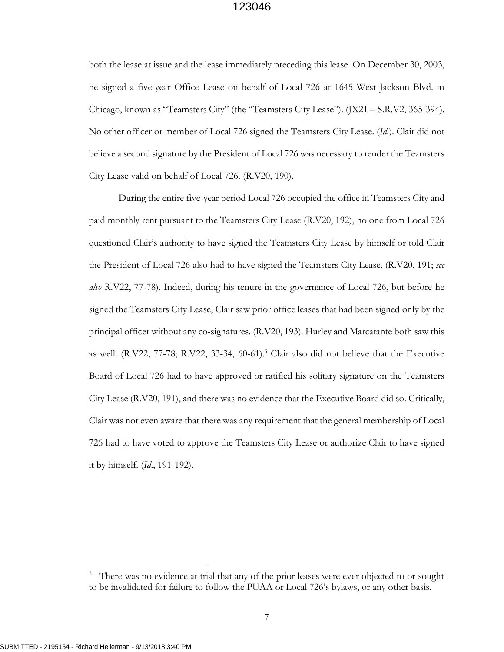both the lease at issue and the lease immediately preceding this lease. On December 30, 2003, he signed a five-year Office Lease on behalf of Local 726 at 1645 West Jackson Blvd. in Chicago, known as "Teamsters City" (the "Teamsters City Lease"). (JX21 – S.R.V2, 365-394). No other officer or member of Local 726 signed the Teamsters City Lease. (*Id*.). Clair did not believe a second signature by the President of Local 726 was necessary to render the Teamsters City Lease valid on behalf of Local 726. (R.V20, 190).

During the entire five-year period Local 726 occupied the office in Teamsters City and paid monthly rent pursuant to the Teamsters City Lease (R.V20, 192), no one from Local 726 questioned Clair's authority to have signed the Teamsters City Lease by himself or told Clair the President of Local 726 also had to have signed the Teamsters City Lease. (R.V20, 191; *see also* R.V22, 77-78). Indeed, during his tenure in the governance of Local 726, but before he signed the Teamsters City Lease, Clair saw prior office leases that had been signed only by the principal officer without any co-signatures. (R.V20, 193). Hurley and Marcatante both saw this as well. (R.V22, 77-78; R.V22, 33-34, 60-61). <sup>3</sup> Clair also did not believe that the Executive Board of Local 726 had to have approved or ratified his solitary signature on the Teamsters City Lease (R.V20, 191), and there was no evidence that the Executive Board did so. Critically, Clair was not even aware that there was any requirement that the general membership of Local 726 had to have voted to approve the Teamsters City Lease or authorize Clair to have signed it by himself. (*Id*., 191-192).

<sup>3</sup> There was no evidence at trial that any of the prior leases were ever objected to or sought to be invalidated for failure to follow the PUAA or Local 726's bylaws, or any other basis.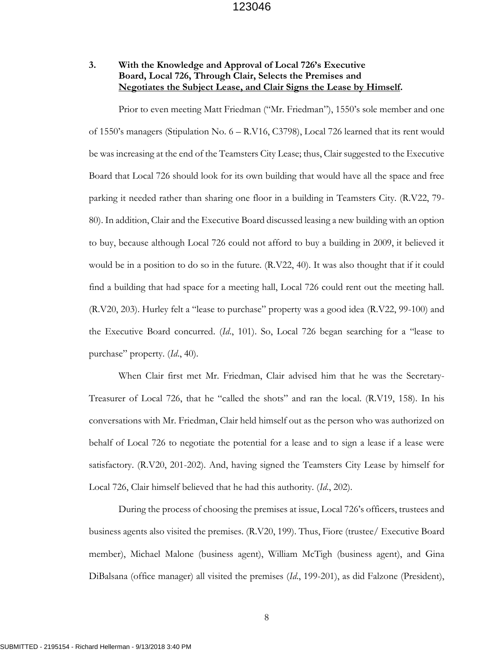## **3. With the Knowledge and Approval of Local 726's Executive Board, Local 726, Through Clair, Selects the Premises and Negotiates the Subject Lease, and Clair Signs the Lease by Himself.**

Prior to even meeting Matt Friedman ("Mr. Friedman"), 1550's sole member and one of 1550's managers (Stipulation No. 6 – R.V16, C3798), Local 726 learned that its rent would be was increasing at the end of the Teamsters City Lease; thus, Clair suggested to the Executive Board that Local 726 should look for its own building that would have all the space and free parking it needed rather than sharing one floor in a building in Teamsters City. (R.V22, 79- 80). In addition, Clair and the Executive Board discussed leasing a new building with an option to buy, because although Local 726 could not afford to buy a building in 2009, it believed it would be in a position to do so in the future. (R.V22, 40). It was also thought that if it could find a building that had space for a meeting hall, Local 726 could rent out the meeting hall. (R.V20, 203). Hurley felt a "lease to purchase" property was a good idea (R.V22, 99-100) and the Executive Board concurred. (*Id*., 101). So, Local 726 began searching for a "lease to purchase" property. (*Id*., 40).

When Clair first met Mr. Friedman, Clair advised him that he was the Secretary-Treasurer of Local 726, that he "called the shots" and ran the local. (R.V19, 158). In his conversations with Mr. Friedman, Clair held himself out as the person who was authorized on behalf of Local 726 to negotiate the potential for a lease and to sign a lease if a lease were satisfactory. (R.V20, 201-202). And, having signed the Teamsters City Lease by himself for Local 726, Clair himself believed that he had this authority. (*Id*., 202).

During the process of choosing the premises at issue, Local 726's officers, trustees and business agents also visited the premises. (R.V20, 199). Thus, Fiore (trustee/ Executive Board member), Michael Malone (business agent), William McTigh (business agent), and Gina DiBalsana (office manager) all visited the premises (*Id*., 199-201), as did Falzone (President),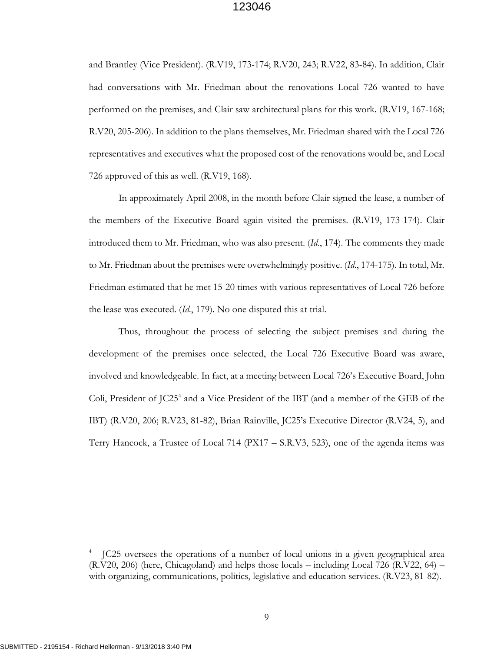and Brantley (Vice President). (R.V19, 173-174; R.V20, 243; R.V22, 83-84). In addition, Clair had conversations with Mr. Friedman about the renovations Local 726 wanted to have performed on the premises, and Clair saw architectural plans for this work. (R.V19, 167-168; R.V20, 205-206). In addition to the plans themselves, Mr. Friedman shared with the Local 726 representatives and executives what the proposed cost of the renovations would be, and Local 726 approved of this as well. (R.V19, 168).

In approximately April 2008, in the month before Clair signed the lease, a number of the members of the Executive Board again visited the premises. (R.V19, 173-174). Clair introduced them to Mr. Friedman, who was also present. (*Id*., 174). The comments they made to Mr. Friedman about the premises were overwhelmingly positive. (*Id*., 174-175). In total, Mr. Friedman estimated that he met 15-20 times with various representatives of Local 726 before the lease was executed. (*Id*., 179). No one disputed this at trial.

Thus, throughout the process of selecting the subject premises and during the development of the premises once selected, the Local 726 Executive Board was aware, involved and knowledgeable. In fact, at a meeting between Local 726's Executive Board, John Coli, President of JC25<sup>4</sup> and a Vice President of the IBT (and a member of the GEB of the IBT) (R.V20, 206; R.V23, 81-82), Brian Rainville, JC25's Executive Director (R.V24, 5), and Terry Hancock, a Trustee of Local 714 (PX17 – S.R.V3, 523), one of the agenda items was

<sup>4</sup> JC25 oversees the operations of a number of local unions in a given geographical area (R.V20, 206) (here, Chicagoland) and helps those locals – including Local 726 (R.V22, 64) – with organizing, communications, politics, legislative and education services. (R.V23, 81-82).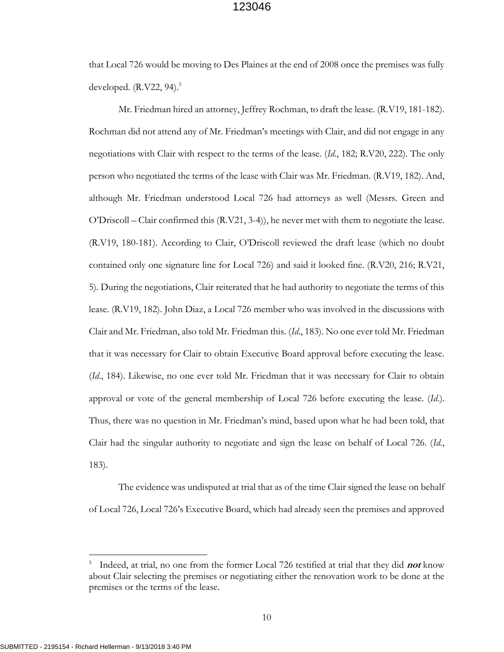that Local 726 would be moving to Des Plaines at the end of 2008 once the premises was fully developed.  $(R.V22, 94).$ <sup>5</sup>

Mr. Friedman hired an attorney, Jeffrey Rochman, to draft the lease. (R.V19, 181-182). Rochman did not attend any of Mr. Friedman's meetings with Clair, and did not engage in any negotiations with Clair with respect to the terms of the lease. (*Id*., 182; R.V20, 222). The only person who negotiated the terms of the lease with Clair was Mr. Friedman. (R.V19, 182). And, although Mr. Friedman understood Local 726 had attorneys as well (Messrs. Green and O'Driscoll – Clair confirmed this (R.V21, 3-4)), he never met with them to negotiate the lease. (R.V19, 180-181). According to Clair, O'Driscoll reviewed the draft lease (which no doubt contained only one signature line for Local 726) and said it looked fine. (R.V20, 216; R.V21, 5). During the negotiations, Clair reiterated that he had authority to negotiate the terms of this lease. (R.V19, 182). John Diaz, a Local 726 member who was involved in the discussions with Clair and Mr. Friedman, also told Mr. Friedman this. (*Id*., 183). No one ever told Mr. Friedman that it was necessary for Clair to obtain Executive Board approval before executing the lease. (*Id*., 184). Likewise, no one ever told Mr. Friedman that it was necessary for Clair to obtain approval or vote of the general membership of Local 726 before executing the lease. (*Id*.). Thus, there was no question in Mr. Friedman's mind, based upon what he had been told, that Clair had the singular authority to negotiate and sign the lease on behalf of Local 726. (*Id*., 183).

The evidence was undisputed at trial that as of the time Clair signed the lease on behalf of Local 726, Local 726's Executive Board, which had already seen the premises and approved

<sup>5</sup> Indeed, at trial, no one from the former Local 726 testified at trial that they did **not** know about Clair selecting the premises or negotiating either the renovation work to be done at the premises or the terms of the lease.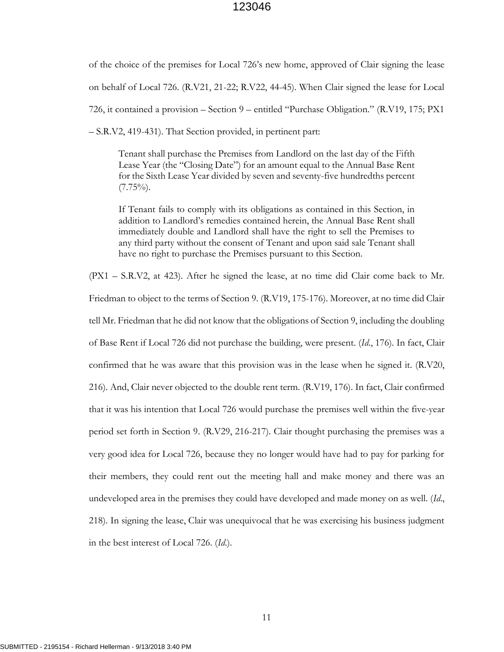of the choice of the premises for Local 726's new home, approved of Clair signing the lease on behalf of Local 726. (R.V21, 21-22; R.V22, 44-45). When Clair signed the lease for Local 726, it contained a provision – Section 9 – entitled "Purchase Obligation." (R.V19, 175; PX1 – S.R.V2, 419-431). That Section provided, in pertinent part:

Tenant shall purchase the Premises from Landlord on the last day of the Fifth Lease Year (the "Closing Date") for an amount equal to the Annual Base Rent for the Sixth Lease Year divided by seven and seventy-five hundredths percent  $(7.75\%)$ .

If Tenant fails to comply with its obligations as contained in this Section, in addition to Landlord's remedies contained herein, the Annual Base Rent shall immediately double and Landlord shall have the right to sell the Premises to any third party without the consent of Tenant and upon said sale Tenant shall have no right to purchase the Premises pursuant to this Section.

(PX1 – S.R.V2, at 423). After he signed the lease, at no time did Clair come back to Mr. Friedman to object to the terms of Section 9. (R.V19, 175-176). Moreover, at no time did Clair tell Mr. Friedman that he did not know that the obligations of Section 9, including the doubling of Base Rent if Local 726 did not purchase the building, were present. (*Id*., 176). In fact, Clair confirmed that he was aware that this provision was in the lease when he signed it. (R.V20, 216). And, Clair never objected to the double rent term. (R.V19, 176). In fact, Clair confirmed that it was his intention that Local 726 would purchase the premises well within the five-year period set forth in Section 9. (R.V29, 216-217). Clair thought purchasing the premises was a very good idea for Local 726, because they no longer would have had to pay for parking for their members, they could rent out the meeting hall and make money and there was an undeveloped area in the premises they could have developed and made money on as well. (*Id*., 218). In signing the lease, Clair was unequivocal that he was exercising his business judgment in the best interest of Local 726. (*Id*.).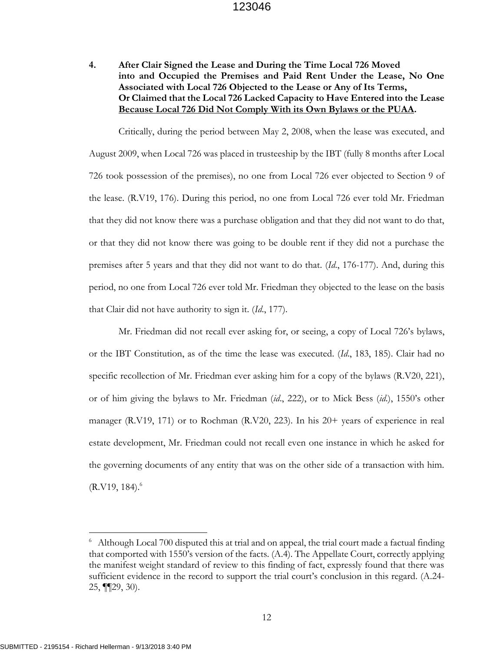## **4. After Clair Signed the Lease and During the Time Local 726 Moved into and Occupied the Premises and Paid Rent Under the Lease, No One Associated with Local 726 Objected to the Lease or Any of Its Terms, Or Claimed that the Local 726 Lacked Capacity to Have Entered into the Lease Because Local 726 Did Not Comply With its Own Bylaws or the PUAA.**

Critically, during the period between May 2, 2008, when the lease was executed, and August 2009, when Local 726 was placed in trusteeship by the IBT (fully 8 months after Local 726 took possession of the premises), no one from Local 726 ever objected to Section 9 of the lease. (R.V19, 176). During this period, no one from Local 726 ever told Mr. Friedman that they did not know there was a purchase obligation and that they did not want to do that, or that they did not know there was going to be double rent if they did not a purchase the premises after 5 years and that they did not want to do that. (*Id*., 176-177). And, during this period, no one from Local 726 ever told Mr. Friedman they objected to the lease on the basis that Clair did not have authority to sign it. (*Id*., 177).

Mr. Friedman did not recall ever asking for, or seeing, a copy of Local 726's bylaws, or the IBT Constitution, as of the time the lease was executed. (*Id*., 183, 185). Clair had no specific recollection of Mr. Friedman ever asking him for a copy of the bylaws (R.V20, 221), or of him giving the bylaws to Mr. Friedman (*id*., 222), or to Mick Bess (*id*.), 1550's other manager (R.V19, 171) or to Rochman (R.V20, 223). In his 20+ years of experience in real estate development, Mr. Friedman could not recall even one instance in which he asked for the governing documents of any entity that was on the other side of a transaction with him.  $(R.V19, 184)$ .

<sup>&</sup>lt;sup>6</sup> Although Local 700 disputed this at trial and on appeal, the trial court made a factual finding that comported with 1550's version of the facts. (A.4). The Appellate Court, correctly applying the manifest weight standard of review to this finding of fact, expressly found that there was sufficient evidence in the record to support the trial court's conclusion in this regard. (A.24- 25, ¶¶29, 30).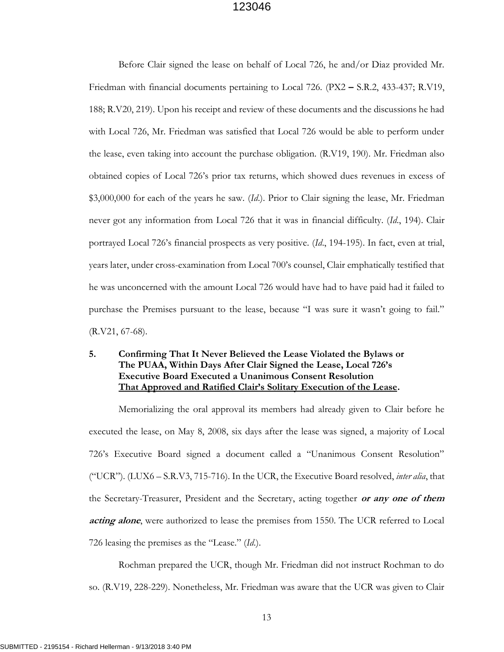Before Clair signed the lease on behalf of Local 726, he and/or Diaz provided Mr. Friedman with financial documents pertaining to Local 726. (PX2 **–** S.R.2, 433-437; R.V19, 188; R.V20, 219). Upon his receipt and review of these documents and the discussions he had with Local 726, Mr. Friedman was satisfied that Local 726 would be able to perform under the lease, even taking into account the purchase obligation. (R.V19, 190). Mr. Friedman also obtained copies of Local 726's prior tax returns, which showed dues revenues in excess of \$3,000,000 for each of the years he saw. (*Id*.). Prior to Clair signing the lease, Mr. Friedman never got any information from Local 726 that it was in financial difficulty. (*Id*., 194). Clair portrayed Local 726's financial prospects as very positive. (*Id*., 194-195). In fact, even at trial, years later, under cross-examination from Local 700's counsel, Clair emphatically testified that he was unconcerned with the amount Local 726 would have had to have paid had it failed to purchase the Premises pursuant to the lease, because "I was sure it wasn't going to fail." (R.V21, 67-68).

#### **5. Confirming That It Never Believed the Lease Violated the Bylaws or The PUAA, Within Days After Clair Signed the Lease, Local 726's Executive Board Executed a Unanimous Consent Resolution That Approved and Ratified Clair's Solitary Execution of the Lease.**

Memorializing the oral approval its members had already given to Clair before he executed the lease, on May 8, 2008, six days after the lease was signed, a majority of Local 726's Executive Board signed a document called a "Unanimous Consent Resolution" ("UCR"). (LUX6 – S.R.V3, 715-716). In the UCR, the Executive Board resolved, *inter alia*, that the Secretary-Treasurer, President and the Secretary, acting together **or any one of them acting alone**, were authorized to lease the premises from 1550. The UCR referred to Local 726 leasing the premises as the "Lease." (*Id*.).

Rochman prepared the UCR, though Mr. Friedman did not instruct Rochman to do so. (R.V19, 228-229). Nonetheless, Mr. Friedman was aware that the UCR was given to Clair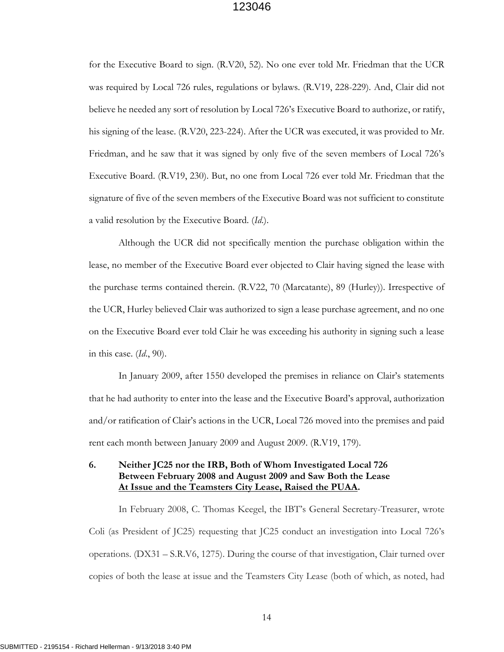for the Executive Board to sign. (R.V20, 52). No one ever told Mr. Friedman that the UCR was required by Local 726 rules, regulations or bylaws. (R.V19, 228-229). And, Clair did not believe he needed any sort of resolution by Local 726's Executive Board to authorize, or ratify, his signing of the lease. (R.V20, 223-224). After the UCR was executed, it was provided to Mr. Friedman, and he saw that it was signed by only five of the seven members of Local 726's Executive Board. (R.V19, 230). But, no one from Local 726 ever told Mr. Friedman that the signature of five of the seven members of the Executive Board was not sufficient to constitute a valid resolution by the Executive Board. (*Id*.).

Although the UCR did not specifically mention the purchase obligation within the lease, no member of the Executive Board ever objected to Clair having signed the lease with the purchase terms contained therein. (R.V22, 70 (Marcatante), 89 (Hurley)). Irrespective of the UCR, Hurley believed Clair was authorized to sign a lease purchase agreement, and no one on the Executive Board ever told Clair he was exceeding his authority in signing such a lease in this case. (*Id*., 90).

In January 2009, after 1550 developed the premises in reliance on Clair's statements that he had authority to enter into the lease and the Executive Board's approval, authorization and/or ratification of Clair's actions in the UCR, Local 726 moved into the premises and paid rent each month between January 2009 and August 2009. (R.V19, 179).

#### **6. Neither JC25 nor the IRB, Both of Whom Investigated Local 726 Between February 2008 and August 2009 and Saw Both the Lease At Issue and the Teamsters City Lease, Raised the PUAA.**

In February 2008, C. Thomas Keegel, the IBT's General Secretary-Treasurer, wrote Coli (as President of JC25) requesting that JC25 conduct an investigation into Local 726's operations. (DX31 – S.R.V6, 1275). During the course of that investigation, Clair turned over copies of both the lease at issue and the Teamsters City Lease (both of which, as noted, had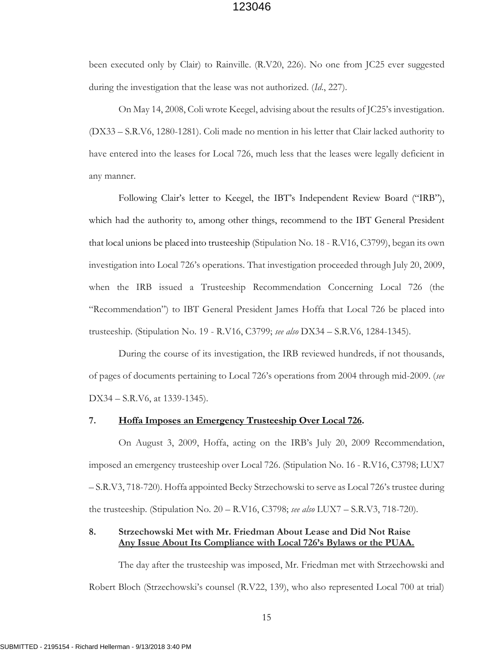been executed only by Clair) to Rainville. (R.V20, 226). No one from JC25 ever suggested during the investigation that the lease was not authorized. (*Id*., 227).

On May 14, 2008, Coli wrote Keegel, advising about the results of JC25's investigation. (DX33 – S.R.V6, 1280-1281). Coli made no mention in his letter that Clair lacked authority to have entered into the leases for Local 726, much less that the leases were legally deficient in any manner.

Following Clair's letter to Keegel, the IBT's Independent Review Board ("IRB"), which had the authority to, among other things, recommend to the IBT General President that local unions be placed into trusteeship (Stipulation No. 18 - R.V16, C3799), began its own investigation into Local 726's operations. That investigation proceeded through July 20, 2009, when the IRB issued a Trusteeship Recommendation Concerning Local 726 (the "Recommendation") to IBT General President James Hoffa that Local 726 be placed into trusteeship. (Stipulation No. 19 - R.V16, C3799; *see also* DX34 – S.R.V6, 1284-1345).

During the course of its investigation, the IRB reviewed hundreds, if not thousands, of pages of documents pertaining to Local 726's operations from 2004 through mid-2009. (*see*  DX34 – S.R.V6, at 1339-1345).

#### **7. Hoffa Imposes an Emergency Trusteeship Over Local 726.**

On August 3, 2009, Hoffa, acting on the IRB's July 20, 2009 Recommendation, imposed an emergency trusteeship over Local 726. (Stipulation No. 16 - R.V16, C3798; LUX7 – S.R.V3, 718-720). Hoffa appointed Becky Strzechowski to serve as Local 726's trustee during the trusteeship. (Stipulation No. 20 – R.V16, C3798; *see also* LUX7 – S.R.V3, 718-720).

#### **8. Strzechowski Met with Mr. Friedman About Lease and Did Not Raise Any Issue About Its Compliance with Local 726's Bylaws or the PUAA.**

The day after the trusteeship was imposed, Mr. Friedman met with Strzechowski and Robert Bloch (Strzechowski's counsel (R.V22, 139), who also represented Local 700 at trial)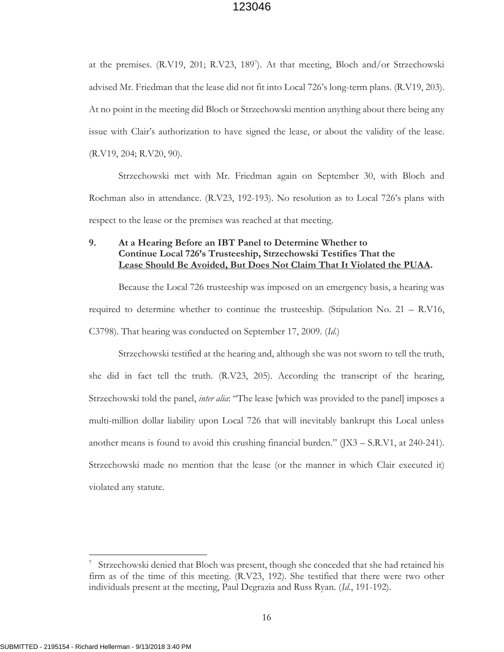at the premises. (R.V19, 201; R.V23, 189<sup>7</sup>). At that meeting, Bloch and/or Strzechowski advised Mr. Friedman that the lease did not fit into Local 726's long-term plans. (R.V19, 203). At no point in the meeting did Bloch or Strzechowski mention anything about there being any issue with Clair's authorization to have signed the lease, or about the validity of the lease. (R.V19, 204; R.V20, 90).

Strzechowski met with Mr. Friedman again on September 30, with Bloch and Rochman also in attendance. (R.V23, 192-193). No resolution as to Local 726's plans with respect to the lease or the premises was reached at that meeting.

### **9. At a Hearing Before an IBT Panel to Determine Whether to Continue Local 726's Trusteeship, Strzechowski Testifies That the Lease Should Be Avoided, But Does Not Claim That It Violated the PUAA.**

Because the Local 726 trusteeship was imposed on an emergency basis, a hearing was required to determine whether to continue the trusteeship. (Stipulation No. 21 – R.V16, C3798). That hearing was conducted on September 17, 2009. (*Id*.)

Strzechowski testified at the hearing and, although she was not sworn to tell the truth, she did in fact tell the truth. (R.V23, 205). According the transcript of the hearing, Strzechowski told the panel, *inter alia*: "The lease [which was provided to the panel] imposes a multi-million dollar liability upon Local 726 that will inevitably bankrupt this Local unless another means is found to avoid this crushing financial burden."  $(IX3 - S.R.V1, at 240-241)$ . Strzechowski made no mention that the lease (or the manner in which Clair executed it) violated any statute.

<sup>7</sup> Strzechowski denied that Bloch was present, though she conceded that she had retained his firm as of the time of this meeting. (R.V23, 192). She testified that there were two other individuals present at the meeting, Paul Degrazia and Russ Ryan. (*Id*., 191-192).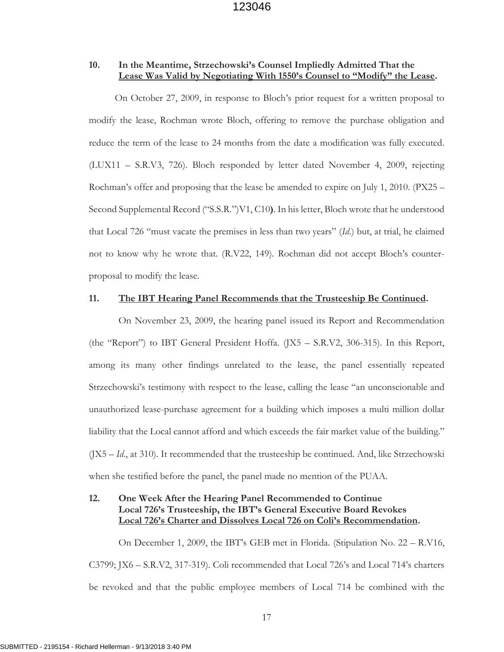#### **10. In the Meantime, Strzechowski's Counsel Impliedly Admitted That the Lease Was Valid by Negotiating With 1550's Counsel to "Modify" the Lease.**

On October 27, 2009, in response to Bloch's prior request for a written proposal to modify the lease, Rochman wrote Bloch, offering to remove the purchase obligation and reduce the term of the lease to 24 months from the date a modification was fully executed. (LUX11 – S.R.V3, 726). Bloch responded by letter dated November 4, 2009, rejecting Rochman's offer and proposing that the lease be amended to expire on July 1, 2010. (PX25 – Second Supplemental Record ("S.S.R.")V1, C10**)**. In his letter, Bloch wrote that he understood that Local 726 "must vacate the premises in less than two years" (*Id*.) but, at trial, he claimed not to know why he wrote that. (R.V22, 149). Rochman did not accept Bloch's counterproposal to modify the lease.

#### **11. The IBT Hearing Panel Recommends that the Trusteeship Be Continued.**

On November 23, 2009, the hearing panel issued its Report and Recommendation (the "Report") to IBT General President Hoffa. (JX5 – S.R.V2, 306-315). In this Report, among its many other findings unrelated to the lease, the panel essentially repeated Strzechowski's testimony with respect to the lease, calling the lease "an unconscionable and unauthorized lease-purchase agreement for a building which imposes a multi million dollar liability that the Local cannot afford and which exceeds the fair market value of the building." (JX5 – *Id*., at 310). It recommended that the trusteeship be continued. And, like Strzechowski when she testified before the panel, the panel made no mention of the PUAA.

#### **12. One Week After the Hearing Panel Recommended to Continue Local 726's Trusteeship, the IBT's General Executive Board Revokes Local 726's Charter and Dissolves Local 726 on Coli's Recommendation.**

On December 1, 2009, the IBT's GEB met in Florida. (Stipulation No. 22 – R.V16, C3799; JX6 – S.R.V2, 317-319). Coli recommended that Local 726's and Local 714's charters be revoked and that the public employee members of Local 714 be combined with the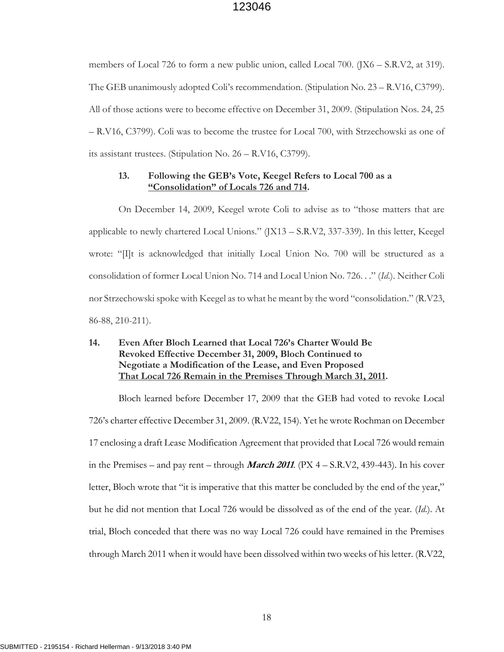members of Local 726 to form a new public union, called Local 700. (JX6 – S.R.V2, at 319). The GEB unanimously adopted Coli's recommendation. (Stipulation No. 23 – R.V16, C3799). All of those actions were to become effective on December 31, 2009. (Stipulation Nos. 24, 25 – R.V16, C3799). Coli was to become the trustee for Local 700, with Strzechowski as one of its assistant trustees. (Stipulation No. 26 – R.V16, C3799).

#### **13. Following the GEB's Vote, Keegel Refers to Local 700 as a "Consolidation" of Locals 726 and 714.**

On December 14, 2009, Keegel wrote Coli to advise as to "those matters that are applicable to newly chartered Local Unions." (JX13 – S.R.V2, 337-339). In this letter, Keegel wrote: "[I]t is acknowledged that initially Local Union No. 700 will be structured as a consolidation of former Local Union No. 714 and Local Union No. 726. . ." (*Id*.). Neither Coli nor Strzechowski spoke with Keegel as to what he meant by the word "consolidation." (R.V23, 86-88, 210-211).

### **14. Even After Bloch Learned that Local 726's Charter Would Be Revoked Effective December 31, 2009, Bloch Continued to Negotiate a Modification of the Lease, and Even Proposed That Local 726 Remain in the Premises Through March 31, 2011.**

Bloch learned before December 17, 2009 that the GEB had voted to revoke Local 726's charter effective December 31, 2009. (R.V22, 154). Yet he wrote Rochman on December 17 enclosing a draft Lease Modification Agreement that provided that Local 726 would remain in the Premises – and pay rent – through **March 2011**. (PX 4 – S.R.V2, 439-443). In his cover letter, Bloch wrote that "it is imperative that this matter be concluded by the end of the year," but he did not mention that Local 726 would be dissolved as of the end of the year. (*Id*.). At trial, Bloch conceded that there was no way Local 726 could have remained in the Premises through March 2011 when it would have been dissolved within two weeks of his letter. (R.V22,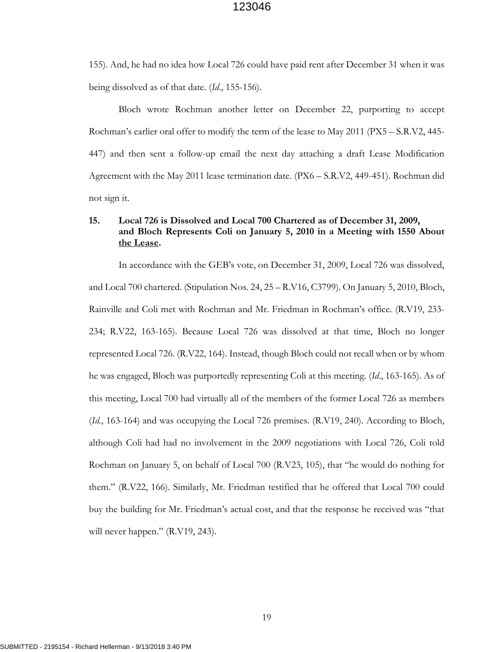155). And, he had no idea how Local 726 could have paid rent after December 31 when it was being dissolved as of that date. (*Id*., 155-156).

Bloch wrote Rochman another letter on December 22, purporting to accept Rochman's earlier oral offer to modify the term of the lease to May 2011 (PX5 – S.R.V2, 445- 447) and then sent a follow-up email the next day attaching a draft Lease Modification Agreement with the May 2011 lease termination date. (PX6 – S.R.V2, 449-451). Rochman did not sign it.

#### **15. Local 726 is Dissolved and Local 700 Chartered as of December 31, 2009, and Bloch Represents Coli on January 5, 2010 in a Meeting with 1550 About the Lease.**

In accordance with the GEB's vote, on December 31, 2009, Local 726 was dissolved, and Local 700 chartered. (Stipulation Nos. 24, 25 – R.V16, C3799). On January 5, 2010, Bloch, Rainville and Coli met with Rochman and Mr. Friedman in Rochman's office. (R.V19, 233- 234; R.V22, 163-165). Because Local 726 was dissolved at that time, Bloch no longer represented Local 726. (R.V22, 164). Instead, though Bloch could not recall when or by whom he was engaged, Bloch was purportedly representing Coli at this meeting. (*Id*., 163-165). As of this meeting, Local 700 had virtually all of the members of the former Local 726 as members (*Id.*, 163-164) and was occupying the Local 726 premises. (R.V19, 240). According to Bloch, although Coli had had no involvement in the 2009 negotiations with Local 726, Coli told Rochman on January 5, on behalf of Local 700 (R.V23, 105), that "he would do nothing for them." (R.V22, 166). Similarly, Mr. Friedman testified that he offered that Local 700 could buy the building for Mr. Friedman's actual cost, and that the response he received was "that will never happen." (R.V19, 243).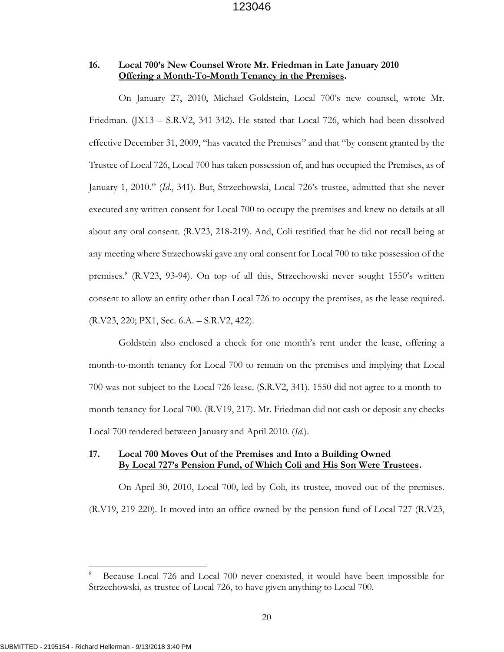#### **16. Local 700's New Counsel Wrote Mr. Friedman in Late January 2010 Offering a Month-To-Month Tenancy in the Premises.**

On January 27, 2010, Michael Goldstein, Local 700's new counsel, wrote Mr. Friedman. (JX13 – S.R.V2, 341-342). He stated that Local 726, which had been dissolved effective December 31, 2009, "has vacated the Premises" and that "by consent granted by the Trustee of Local 726, Local 700 has taken possession of, and has occupied the Premises, as of January 1, 2010." (*Id*., 341). But, Strzechowski, Local 726's trustee, admitted that she never executed any written consent for Local 700 to occupy the premises and knew no details at all about any oral consent. (R.V23, 218-219). And, Coli testified that he did not recall being at any meeting where Strzechowski gave any oral consent for Local 700 to take possession of the premises.<sup>8</sup> (R.V23, 93-94). On top of all this, Strzechowski never sought 1550's written consent to allow an entity other than Local 726 to occupy the premises, as the lease required. (R.V23, 220; PX1, Sec. 6.A. – S.R.V2, 422).

Goldstein also enclosed a check for one month's rent under the lease, offering a month-to-month tenancy for Local 700 to remain on the premises and implying that Local 700 was not subject to the Local 726 lease. (S.R.V2, 341). 1550 did not agree to a month-tomonth tenancy for Local 700. (R.V19, 217). Mr. Friedman did not cash or deposit any checks Local 700 tendered between January and April 2010. (*Id*.).

#### **17. Local 700 Moves Out of the Premises and Into a Building Owned By Local 727's Pension Fund, of Which Coli and His Son Were Trustees.**

On April 30, 2010, Local 700, led by Coli, its trustee, moved out of the premises. (R.V19, 219-220). It moved into an office owned by the pension fund of Local 727 (R.V23,

<sup>8</sup> Because Local 726 and Local 700 never coexisted, it would have been impossible for Strzechowski, as trustee of Local 726, to have given anything to Local 700.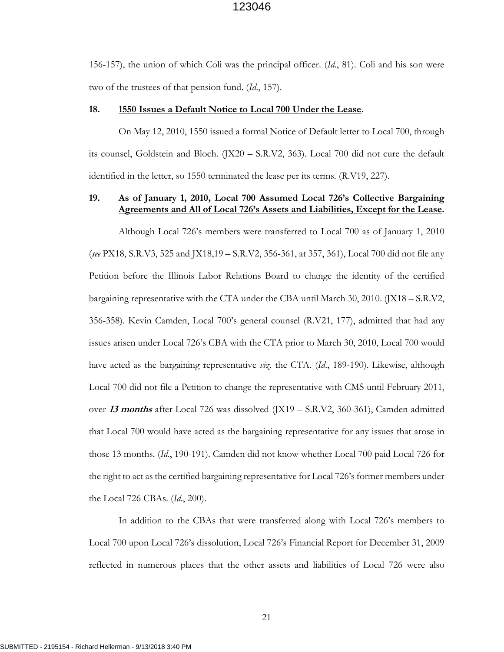156-157), the union of which Coli was the principal officer. (*Id*., 81). Coli and his son were two of the trustees of that pension fund. (*Id*., 157).

#### **18. 1550 Issues a Default Notice to Local 700 Under the Lease.**

On May 12, 2010, 1550 issued a formal Notice of Default letter to Local 700, through its counsel, Goldstein and Bloch. (JX20 – S.R.V2, 363). Local 700 did not cure the default identified in the letter, so 1550 terminated the lease per its terms. (R.V19, 227).

#### **19. As of January 1, 2010, Local 700 Assumed Local 726's Collective Bargaining Agreements and All of Local 726's Assets and Liabilities, Except for the Lease.**

Although Local 726's members were transferred to Local 700 as of January 1, 2010 (*see* PX18, S.R.V3, 525 and JX18,19 – S.R.V2, 356-361, at 357, 361), Local 700 did not file any Petition before the Illinois Labor Relations Board to change the identity of the certified bargaining representative with the CTA under the CBA until March 30, 2010. (JX18 – S.R.V2, 356-358). Kevin Camden, Local 700's general counsel (R.V21, 177), admitted that had any issues arisen under Local 726's CBA with the CTA prior to March 30, 2010, Local 700 would have acted as the bargaining representative *viz*. the CTA. (*Id*., 189-190). Likewise, although Local 700 did not file a Petition to change the representative with CMS until February 2011, over **13 months** after Local 726 was dissolved (JX19 – S.R.V2, 360-361), Camden admitted that Local 700 would have acted as the bargaining representative for any issues that arose in those 13 months. (*Id*., 190-191). Camden did not know whether Local 700 paid Local 726 for the right to act as the certified bargaining representative for Local 726's former members under the Local 726 CBAs. (*Id*., 200).

In addition to the CBAs that were transferred along with Local 726's members to Local 700 upon Local 726's dissolution, Local 726's Financial Report for December 31, 2009 reflected in numerous places that the other assets and liabilities of Local 726 were also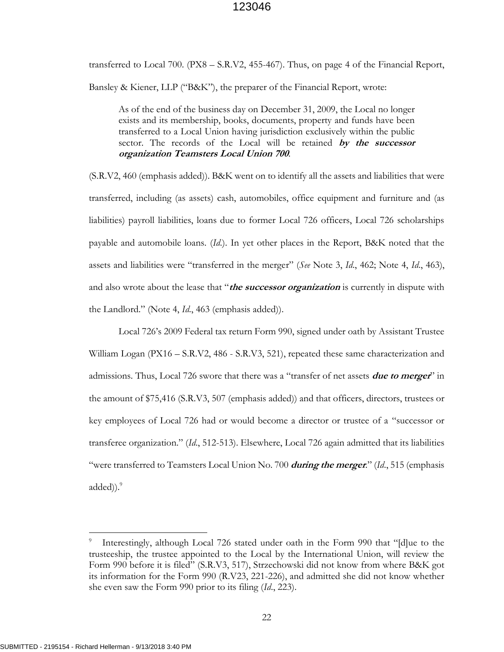transferred to Local 700. (PX8 – S.R.V2, 455-467). Thus, on page 4 of the Financial Report, Bansley & Kiener, LLP ("B&K"), the preparer of the Financial Report, wrote:

As of the end of the business day on December 31, 2009, the Local no longer exists and its membership, books, documents, property and funds have been transferred to a Local Union having jurisdiction exclusively within the public sector. The records of the Local will be retained **by the successor organization Teamsters Local Union 700**.

(S.R.V2, 460 (emphasis added)). B&K went on to identify all the assets and liabilities that were transferred, including (as assets) cash, automobiles, office equipment and furniture and (as liabilities) payroll liabilities, loans due to former Local 726 officers, Local 726 scholarships payable and automobile loans. (*Id*.). In yet other places in the Report, B&K noted that the assets and liabilities were "transferred in the merger" (*See* Note 3, *Id*., 462; Note 4, *Id*., 463), and also wrote about the lease that "**the successor organization** is currently in dispute with the Landlord." (Note 4, *Id*., 463 (emphasis added)).

Local 726's 2009 Federal tax return Form 990, signed under oath by Assistant Trustee William Logan (PX16 – S.R.V2, 486 - S.R.V3, 521), repeated these same characterization and admissions. Thus, Local 726 swore that there was a "transfer of net assets **due to merger**" in the amount of \$75,416 (S.R.V3, 507 (emphasis added)) and that officers, directors, trustees or key employees of Local 726 had or would become a director or trustee of a "successor or transferee organization." (*Id*., 512-513). Elsewhere, Local 726 again admitted that its liabilities "were transferred to Teamsters Local Union No. 700 **during the merger**." (*Id*., 515 (emphasis added)).<sup>9</sup>

<sup>9</sup> Interestingly, although Local 726 stated under oath in the Form 990 that "[d]ue to the trusteeship, the trustee appointed to the Local by the International Union, will review the Form 990 before it is filed" (S.R.V3, 517), Strzechowski did not know from where B&K got its information for the Form 990 (R.V23, 221-226), and admitted she did not know whether she even saw the Form 990 prior to its filing (*Id*., 223).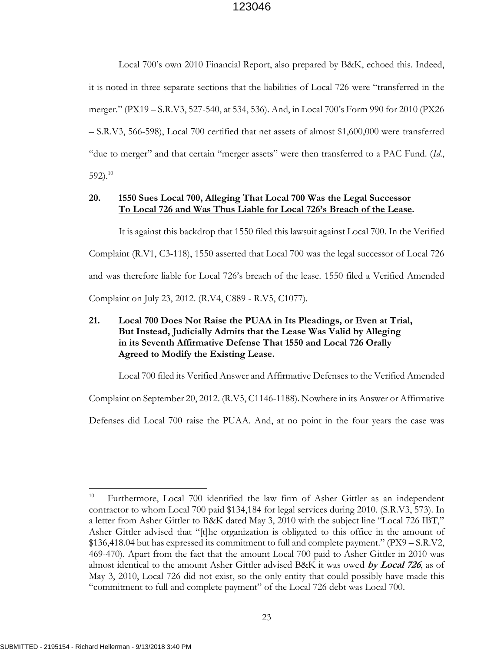Local 700's own 2010 Financial Report, also prepared by B&K, echoed this. Indeed, it is noted in three separate sections that the liabilities of Local 726 were "transferred in the merger." (PX19 – S.R.V3, 527-540, at 534, 536). And, in Local 700's Form 990 for 2010 (PX26 – S.R.V3, 566-598), Local 700 certified that net assets of almost \$1,600,000 were transferred "due to merger" and that certain "merger assets" were then transferred to a PAC Fund. (*Id*., 592). $10$ 

### **20. 1550 Sues Local 700, Alleging That Local 700 Was the Legal Successor To Local 726 and Was Thus Liable for Local 726's Breach of the Lease.**

It is against this backdrop that 1550 filed this lawsuit against Local 700. In the Verified Complaint (R.V1, C3-118), 1550 asserted that Local 700 was the legal successor of Local 726 and was therefore liable for Local 726's breach of the lease. 1550 filed a Verified Amended Complaint on July 23, 2012. (R.V4, C889 - R.V5, C1077).

## **21. Local 700 Does Not Raise the PUAA in Its Pleadings, or Even at Trial, But Instead, Judicially Admits that the Lease Was Valid by Alleging in its Seventh Affirmative Defense That 1550 and Local 726 Orally Agreed to Modify the Existing Lease.**

Local 700 filed its Verified Answer and Affirmative Defenses to the Verified Amended

Complaint on September 20, 2012. (R.V5, C1146-1188). Nowhere in its Answer or Affirmative

Defenses did Local 700 raise the PUAA. And, at no point in the four years the case was

<sup>10</sup> Furthermore, Local 700 identified the law firm of Asher Gittler as an independent contractor to whom Local 700 paid \$134,184 for legal services during 2010. (S.R.V3, 573). In a letter from Asher Gittler to B&K dated May 3, 2010 with the subject line "Local 726 IBT," Asher Gittler advised that "[t]he organization is obligated to this office in the amount of \$136,418.04 but has expressed its commitment to full and complete payment." (PX9 – S.R.V2, 469-470). Apart from the fact that the amount Local 700 paid to Asher Gittler in 2010 was almost identical to the amount Asher Gittler advised B&K it was owed **by Local 726**, as of May 3, 2010, Local 726 did not exist, so the only entity that could possibly have made this "commitment to full and complete payment" of the Local 726 debt was Local 700.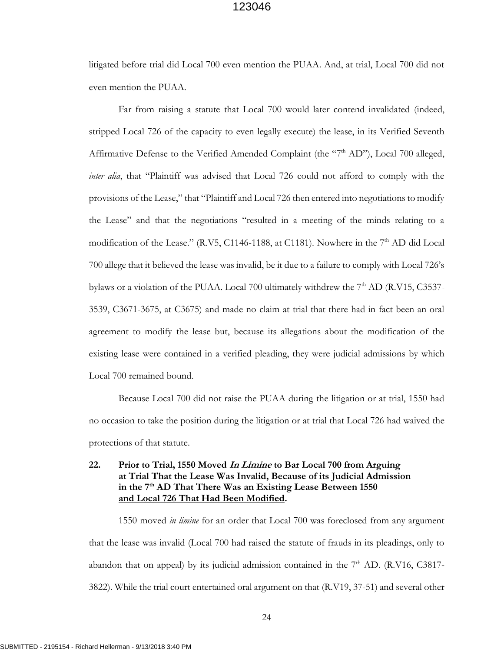litigated before trial did Local 700 even mention the PUAA. And, at trial, Local 700 did not even mention the PUAA.

Far from raising a statute that Local 700 would later contend invalidated (indeed, stripped Local 726 of the capacity to even legally execute) the lease, in its Verified Seventh Affirmative Defense to the Verified Amended Complaint (the "7<sup>th</sup> AD"), Local 700 alleged, *inter alia*, that "Plaintiff was advised that Local 726 could not afford to comply with the provisions of the Lease," that "Plaintiff and Local 726 then entered into negotiations to modify the Lease" and that the negotiations "resulted in a meeting of the minds relating to a modification of the Lease." (R.V5, C1146-1188, at C1181). Nowhere in the  $7<sup>th</sup>$  AD did Local 700 allege that it believed the lease was invalid, be it due to a failure to comply with Local 726's bylaws or a violation of the PUAA. Local 700 ultimately withdrew the  $7<sup>th</sup>$  AD (R.V15, C3537-3539, C3671-3675, at C3675) and made no claim at trial that there had in fact been an oral agreement to modify the lease but, because its allegations about the modification of the existing lease were contained in a verified pleading, they were judicial admissions by which Local 700 remained bound.

Because Local 700 did not raise the PUAA during the litigation or at trial, 1550 had no occasion to take the position during the litigation or at trial that Local 726 had waived the protections of that statute.

## **22. Prior to Trial, 1550 Moved In Limine to Bar Local 700 from Arguing at Trial That the Lease Was Invalid, Because of its Judicial Admission in the 7th AD That There Was an Existing Lease Between 1550 and Local 726 That Had Been Modified.**

1550 moved *in limine* for an order that Local 700 was foreclosed from any argument that the lease was invalid (Local 700 had raised the statute of frauds in its pleadings, only to abandon that on appeal) by its judicial admission contained in the  $7<sup>th</sup>$  AD. (R.V16, C3817-3822). While the trial court entertained oral argument on that (R.V19, 37-51) and several other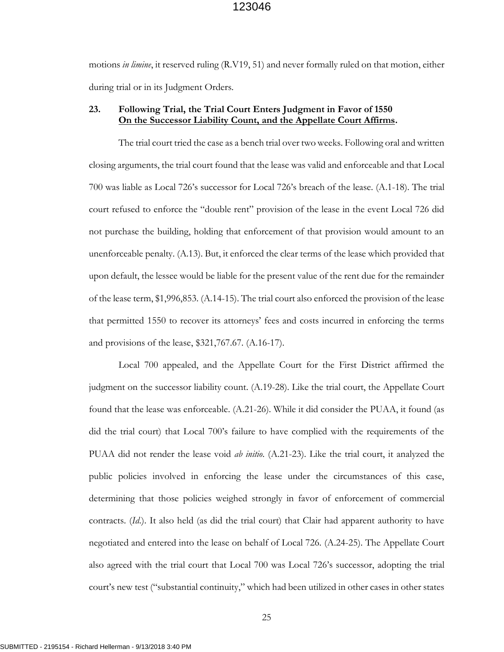motions *in limine*, it reserved ruling (R.V19, 51) and never formally ruled on that motion, either during trial or in its Judgment Orders.

#### **23. Following Trial, the Trial Court Enters Judgment in Favor of 1550 On the Successor Liability Count, and the Appellate Court Affirms.**

The trial court tried the case as a bench trial over two weeks. Following oral and written closing arguments, the trial court found that the lease was valid and enforceable and that Local 700 was liable as Local 726's successor for Local 726's breach of the lease. (A.1-18). The trial court refused to enforce the "double rent" provision of the lease in the event Local 726 did not purchase the building, holding that enforcement of that provision would amount to an unenforceable penalty. (A.13). But, it enforced the clear terms of the lease which provided that upon default, the lessee would be liable for the present value of the rent due for the remainder of the lease term, \$1,996,853. (A.14-15). The trial court also enforced the provision of the lease that permitted 1550 to recover its attorneys' fees and costs incurred in enforcing the terms and provisions of the lease, \$321,767.67. (A.16-17).

Local 700 appealed, and the Appellate Court for the First District affirmed the judgment on the successor liability count. (A.19-28). Like the trial court, the Appellate Court found that the lease was enforceable. (A.21-26). While it did consider the PUAA, it found (as did the trial court) that Local 700's failure to have complied with the requirements of the PUAA did not render the lease void *ab initio*. (A.21-23). Like the trial court, it analyzed the public policies involved in enforcing the lease under the circumstances of this case, determining that those policies weighed strongly in favor of enforcement of commercial contracts. (*Id*.). It also held (as did the trial court) that Clair had apparent authority to have negotiated and entered into the lease on behalf of Local 726. (A.24-25). The Appellate Court also agreed with the trial court that Local 700 was Local 726's successor, adopting the trial court's new test ("substantial continuity," which had been utilized in other cases in other states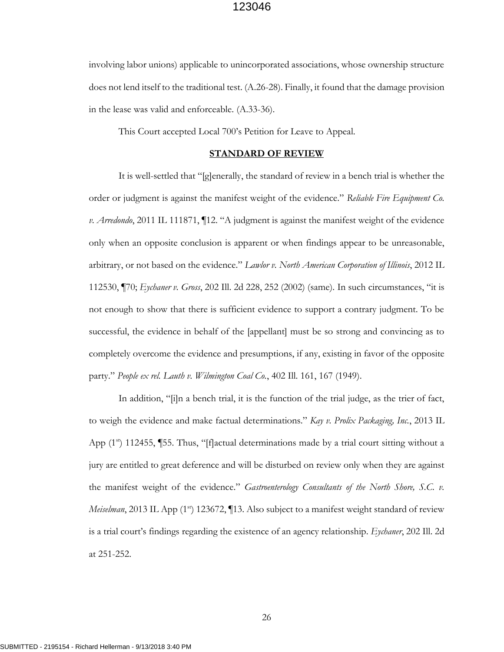involving labor unions) applicable to unincorporated associations, whose ownership structure does not lend itself to the traditional test. (A.26-28). Finally, it found that the damage provision in the lease was valid and enforceable. (A.33-36).

This Court accepted Local 700's Petition for Leave to Appeal.

#### **STANDARD OF REVIEW**

It is well-settled that "[g]enerally, the standard of review in a bench trial is whether the order or judgment is against the manifest weight of the evidence." *Reliable Fire Equipment Co. v. Arredondo*, 2011 IL 111871, ¶12. "A judgment is against the manifest weight of the evidence only when an opposite conclusion is apparent or when findings appear to be unreasonable, arbitrary, or not based on the evidence." *Lawlor v. North American Corporation of Illinois*, 2012 IL 112530, ¶70; *Eychaner v. Gross*, 202 Ill. 2d 228, 252 (2002) (same). In such circumstances, "it is not enough to show that there is sufficient evidence to support a contrary judgment. To be successful, the evidence in behalf of the [appellant] must be so strong and convincing as to completely overcome the evidence and presumptions, if any, existing in favor of the opposite party." *People ex rel. Lauth v. Wilmington Coal Co.*, 402 Ill. 161, 167 (1949).

In addition, "[i]n a bench trial, it is the function of the trial judge, as the trier of fact, to weigh the evidence and make factual determinations." *Kay v. Prolix Packaging, Inc.*, 2013 IL App  $(1^{st})$  112455,  $\P$ 55. Thus, "[f]actual determinations made by a trial court sitting without a jury are entitled to great deference and will be disturbed on review only when they are against the manifest weight of the evidence." *Gastroenterology Consultants of the North Shore, S.C. v. Meiselman*, 2013 IL App (1<sup>st</sup>) 123672, 113. Also subject to a manifest weight standard of review is a trial court's findings regarding the existence of an agency relationship. *Eychaner*, 202 Ill. 2d at 251-252.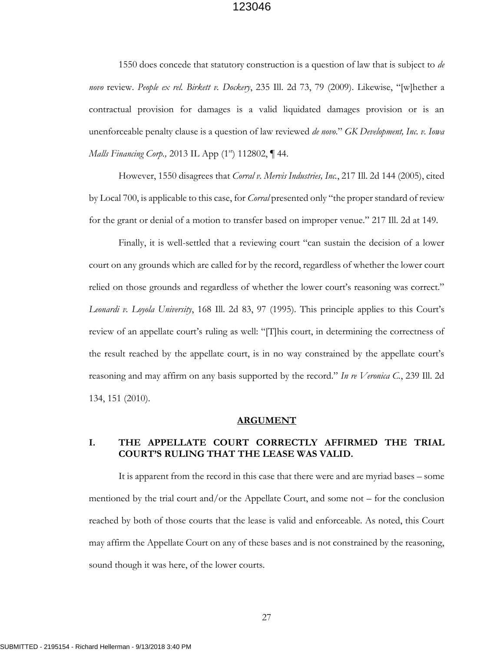1550 does concede that statutory construction is a question of law that is subject to *de novo* review. *[People ex rel. Birkett v. Dockery](http://www.westlaw.com/Link/Document/FullText?findType=Y&serNum=2019982988&pubNum=0000578&originatingDoc=I9ba617ab32bf11dfae65b23e804c3c12&refType=RP&originationContext=document&vr=3.0&rs=cblt1.0&transitionType=DocumentItem&contextData=(sc.Default))*, 235 Ill. 2d 73, 79 (2009). Likewise, "[w]hether a contractual provision for damages is a valid liquidated damages provision or is an unenforceable penalty clause is a question of law reviewed *de novo*." *GK Development, Inc. v. Iowa Malls Financing Corp., 2013 IL App* (1<sup>st</sup>) 112802, 144.

However, 1550 disagrees that *Corral v. Mervis Industries, Inc.*, 217 Ill. 2d 144 (2005), cited by Local 700, is applicable to this case, for *Corral* presented only "the proper standard of review for the grant or denial of a motion to transfer based on improper venue." 217 Ill. 2d at 149.

Finally, it is well-settled that a reviewing court "can sustain the decision of a lower court on any grounds which are called for by the record, regardless of whether the lower court relied on those grounds and regardless of whether the lower court's reasoning was correct." *Leonardi v. Loyola University*, 168 Ill. 2d 83, 97 (1995). This principle applies to this Court's review of an appellate court's ruling as well: "[T]his court, in determining the correctness of the result reached by the appellate court, is in no way constrained by the appellate court's reasoning and may affirm on any basis supported by the record." *In re Veronica C.*, 239 Ill. 2d 134, 151 (2010).

#### **ARGUMENT**

#### **I. THE APPELLATE COURT CORRECTLY AFFIRMED THE TRIAL COURT'S RULING THAT THE LEASE WAS VALID.**

It is apparent from the record in this case that there were and are myriad bases – some mentioned by the trial court and/or the Appellate Court, and some not – for the conclusion reached by both of those courts that the lease is valid and enforceable. As noted, this Court may affirm the Appellate Court on any of these bases and is not constrained by the reasoning, sound though it was here, of the lower courts.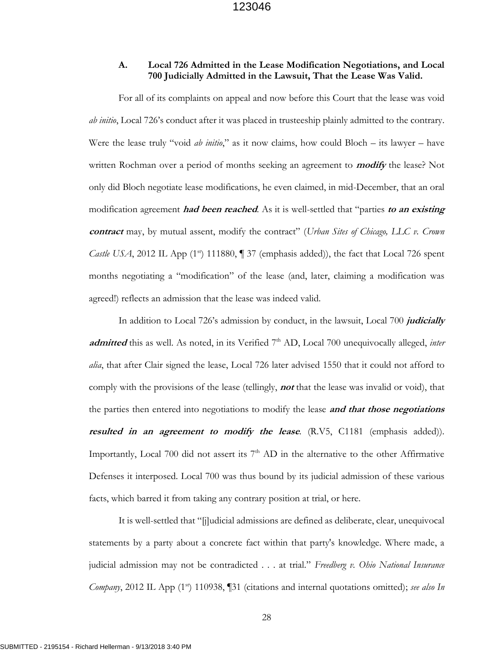#### **A. Local 726 Admitted in the Lease Modification Negotiations, and Local 700 Judicially Admitted in the Lawsuit, That the Lease Was Valid.**

For all of its complaints on appeal and now before this Court that the lease was void *ab initio*, Local 726's conduct after it was placed in trusteeship plainly admitted to the contrary. Were the lease truly "void *ab initio*," as it now claims, how could Bloch – its lawyer – have written Rochman over a period of months seeking an agreement to **modify** the lease? Not only did Bloch negotiate lease modifications, he even claimed, in mid-December, that an oral modification agreement **had been reached**. As it is well-settled that "parties **to an existing contract** may, by mutual assent, modify the contract" (*Urban Sites of Chicago, LLC v. Crown Castle* USA, 2012 IL App  $(1^{st})$  111880,  $\P$  37 (emphasis added)), the fact that Local 726 spent months negotiating a "modification" of the lease (and, later, claiming a modification was agreed!) reflects an admission that the lease was indeed valid.

In addition to Local 726's admission by conduct, in the lawsuit, Local 700 **judicially**  admitted this as well. As noted, in its Verified 7<sup>th</sup> AD, Local 700 unequivocally alleged, *inter alia*, that after Clair signed the lease, Local 726 later advised 1550 that it could not afford to comply with the provisions of the lease (tellingly, **not** that the lease was invalid or void), that the parties then entered into negotiations to modify the lease **and that those negotiations**  *resulted in an agreement to modify the lease.* (R.V5, C1181 (emphasis added)). Importantly, Local 700 did not assert its  $7<sup>th</sup>$  AD in the alternative to the other Affirmative Defenses it interposed. Local 700 was thus bound by its judicial admission of these various facts, which barred it from taking any contrary position at trial, or here.

It is well-settled that "[j]udicial admissions are defined as deliberate, clear, unequivocal statements by a party about a concrete fact within that party's knowledge. Where made, a judicial admission may not be contradicted . . . at trial." *Freedberg v. Ohio National Insurance Company*, 2012 IL App (1<sup>st</sup>) 110938, [31 (citations and internal quotations omitted); *see also In*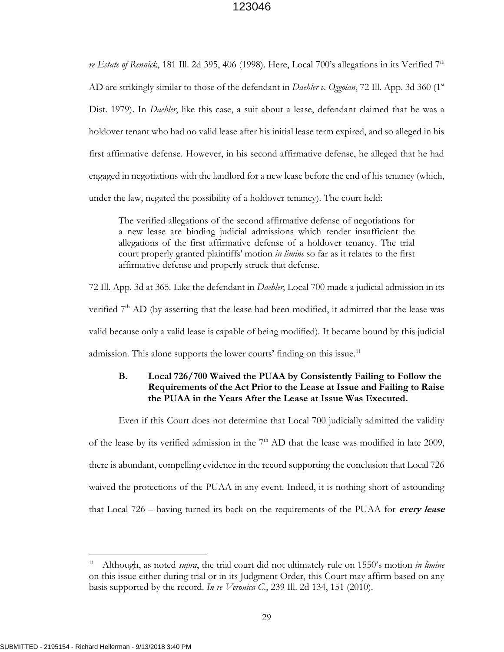*re Estate of Rennick*, 181 Ill. 2d 395, 406 (1998). Here, Local 700's allegations in its Verified 7<sup>th</sup> AD are strikingly similar to those of the defendant in *Daehler v. Oggoian*, 72 Ill. App. 3d 360 (1st Dist. 1979). In *Daehler*, like this case, a suit about a lease, defendant claimed that he was a holdover tenant who had no valid lease after his initial lease term expired, and so alleged in his first affirmative defense. However, in his second affirmative defense, he alleged that he had engaged in negotiations with the landlord for a new lease before the end of his tenancy (which, under the law, negated the possibility of a holdover tenancy). The court held:

The verified allegations of the second affirmative defense of negotiations for a new lease are binding judicial admissions which render insufficient the allegations of the first affirmative defense of a holdover tenancy. The trial court properly granted plaintiffs' motion *in limine* so far as it relates to the first affirmative defense and properly struck that defense.

72 Ill. App. 3d at 365. Like the defendant in *Daehler*, Local 700 made a judicial admission in its verified  $7<sup>th</sup>$  AD (by asserting that the lease had been modified, it admitted that the lease was valid because only a valid lease is capable of being modified). It became bound by this judicial admission. This alone supports the lower courts' finding on this issue.<sup>11</sup>

## **B. Local 726/700 Waived the PUAA by Consistently Failing to Follow the Requirements of the Act Prior to the Lease at Issue and Failing to Raise the PUAA in the Years After the Lease at Issue Was Executed.**

Even if this Court does not determine that Local 700 judicially admitted the validity of the lease by its verified admission in the  $7<sup>th</sup>$  AD that the lease was modified in late 2009, there is abundant, compelling evidence in the record supporting the conclusion that Local 726 waived the protections of the PUAA in any event. Indeed, it is nothing short of astounding that Local 726 – having turned its back on the requirements of the PUAA for **every lease**

<sup>11</sup> Although, as noted *supra*, the trial court did not ultimately rule on 1550's motion *in limine* on this issue either during trial or in its Judgment Order, this Court may affirm based on any basis supported by the record. *In re Veronica C.*, 239 Ill. 2d 134, 151 (2010).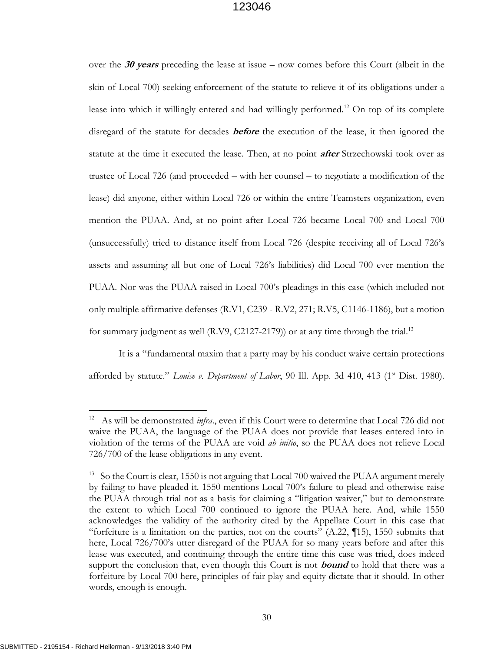over the **30 years** preceding the lease at issue – now comes before this Court (albeit in the skin of Local 700) seeking enforcement of the statute to relieve it of its obligations under a lease into which it willingly entered and had willingly performed. <sup>12</sup> On top of its complete disregard of the statute for decades **before** the execution of the lease, it then ignored the statute at the time it executed the lease. Then, at no point **after** Strzechowski took over as trustee of Local 726 (and proceeded – with her counsel – to negotiate a modification of the lease) did anyone, either within Local 726 or within the entire Teamsters organization, even mention the PUAA. And, at no point after Local 726 became Local 700 and Local 700 (unsuccessfully) tried to distance itself from Local 726 (despite receiving all of Local 726's assets and assuming all but one of Local 726's liabilities) did Local 700 ever mention the PUAA. Nor was the PUAA raised in Local 700's pleadings in this case (which included not only multiple affirmative defenses (R.V1, C239 - R.V2, 271; R.V5, C1146-1186), but a motion for summary judgment as well  $(R.V9, C2127-2179)$  or at any time through the trial.<sup>13</sup>

It is a "fundamental maxim that a party may by his conduct waive certain protections afforded by statute." *Louise v. Department of Labor*, 90 Ill. App. 3d 410, 413 (1<sup>st</sup> Dist. 1980).

<sup>&</sup>lt;sup>12</sup> As will be demonstrated *infra*., even if this Court were to determine that Local 726 did not waive the PUAA, the language of the PUAA does not provide that leases entered into in violation of the terms of the PUAA are void *ab initio*, so the PUAA does not relieve Local 726/700 of the lease obligations in any event.

<sup>&</sup>lt;sup>13</sup> So the Court is clear, 1550 is not arguing that Local 700 waived the PUAA argument merely by failing to have pleaded it. 1550 mentions Local 700's failure to plead and otherwise raise the PUAA through trial not as a basis for claiming a "litigation waiver," but to demonstrate the extent to which Local 700 continued to ignore the PUAA here. And, while 1550 acknowledges the validity of the authority cited by the Appellate Court in this case that "forfeiture is a limitation on the parties, not on the courts" (A.22, ¶15), 1550 submits that here, Local 726/700's utter disregard of the PUAA for so many years before and after this lease was executed, and continuing through the entire time this case was tried, does indeed support the conclusion that, even though this Court is not **bound** to hold that there was a forfeiture by Local 700 here, principles of fair play and equity dictate that it should. In other words, enough is enough.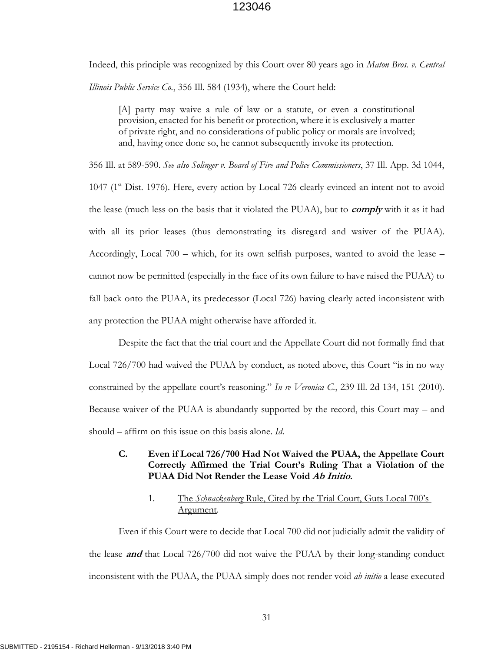Indeed, this principle was recognized by this Court over 80 years ago in *Maton Bros. v. Central Illinois Public Service Co.*, 356 Ill. 584 (1934), where the Court held:

[A] party may waive a rule of law or a statute, or even a constitutional provision, enacted for his benefit or protection, where it is exclusively a matter of private right, and no considerations of public policy or morals are involved; and, having once done so, he cannot subsequently invoke its protection.

356 Ill. at 589-590. *See also Solinger v. Board of Fire and Police Commissioners*, 37 Ill. App. 3d 1044,

1047 (1st Dist. 1976). Here, every action by Local 726 clearly evinced an intent not to avoid the lease (much less on the basis that it violated the PUAA), but to **comply** with it as it had with all its prior leases (thus demonstrating its disregard and waiver of the PUAA). Accordingly, Local 700 – which, for its own selfish purposes, wanted to avoid the lease – cannot now be permitted (especially in the face of its own failure to have raised the PUAA) to fall back onto the PUAA, its predecessor (Local 726) having clearly acted inconsistent with any protection the PUAA might otherwise have afforded it.

Despite the fact that the trial court and the Appellate Court did not formally find that Local 726/700 had waived the PUAA by conduct, as noted above, this Court "is in no way constrained by the appellate court's reasoning." *In re Veronica C.*, 239 Ill. 2d 134, 151 (2010). Because waiver of the PUAA is abundantly supported by the record, this Court may – and should – affirm on this issue on this basis alone. *Id*.

#### **C. Even if Local 726/700 Had Not Waived the PUAA, the Appellate Court Correctly Affirmed the Trial Court's Ruling That a Violation of the PUAA Did Not Render the Lease Void Ab Initio.**

#### 1. The *Schnackenberg* Rule, Cited by the Trial Court, Guts Local 700's Argument.

Even if this Court were to decide that Local 700 did not judicially admit the validity of the lease **and** that Local 726/700 did not waive the PUAA by their long-standing conduct inconsistent with the PUAA, the PUAA simply does not render void *ab initio* a lease executed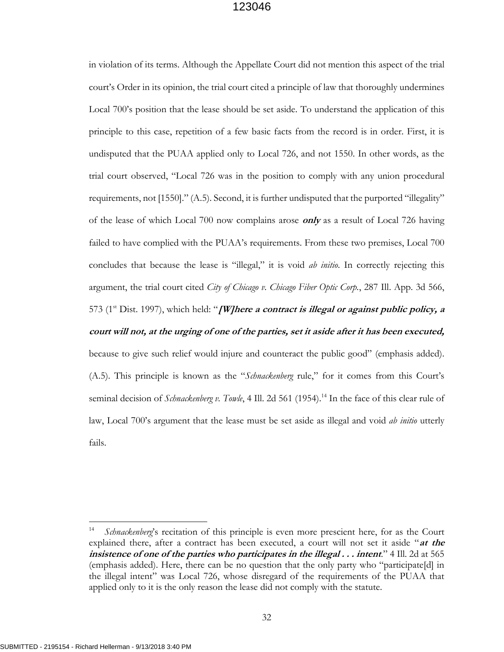in violation of its terms. Although the Appellate Court did not mention this aspect of the trial court's Order in its opinion, the trial court cited a principle of law that thoroughly undermines Local 700's position that the lease should be set aside. To understand the application of this principle to this case, repetition of a few basic facts from the record is in order. First, it is undisputed that the PUAA applied only to Local 726, and not 1550. In other words, as the trial court observed, "Local 726 was in the position to comply with any union procedural requirements, not [1550]." (A.5). Second, it is further undisputed that the purported "illegality" of the lease of which Local 700 now complains arose **only** as a result of Local 726 having failed to have complied with the PUAA's requirements. From these two premises, Local 700 concludes that because the lease is "illegal," it is void *ab initio*. In correctly rejecting this argument, the trial court cited *City of Chicago v. Chicago Fiber Optic Corp.*, 287 Ill. App. 3d 566, 573 (1<sup>st</sup> Dist. 1997), which held: "*[W]here a contract is illegal or against public policy, a* **court will not, at the urging of one of the parties, set it aside after it has been executed,**  because to give such relief would injure and counteract the public good" (emphasis added). (A.5). This principle is known as the "*Schnackenberg* rule," for it comes from this Court's seminal decision of *Schnackenberg v. Towle*, 4 Ill. 2d 561 (1954). <sup>14</sup> In the face of this clear rule of law, Local 700's argument that the lease must be set aside as illegal and void *ab initio* utterly fails.

<sup>14</sup> *Schnackenberg*'s recitation of this principle is even more prescient here, for as the Court explained there, after a contract has been executed, a court will not set it aside "**at the**  *insistence of one of the parties who participates in the illegal . . . intent.*" 4 Ill. 2d at 565 (emphasis added). Here, there can be no question that the only party who "participate[d] in the illegal intent" was Local 726, whose disregard of the requirements of the PUAA that applied only to it is the only reason the lease did not comply with the statute.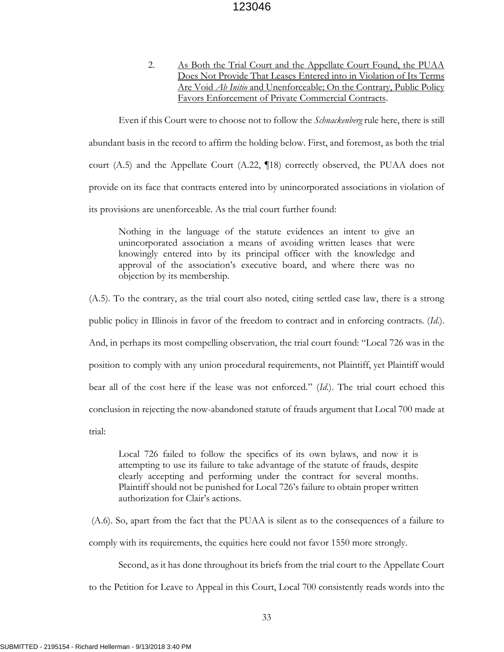2. As Both the Trial Court and the Appellate Court Found, the PUAA Does Not Provide That Leases Entered into in Violation of Its Terms Are Void *Ab Initio* and Unenforceable; On the Contrary, Public Policy Favors Enforcement of Private Commercial Contracts.

Even if this Court were to choose not to follow the *Schnackenberg* rule here, there is still abundant basis in the record to affirm the holding below. First, and foremost, as both the trial court (A.5) and the Appellate Court (A.22, ¶18) correctly observed, the PUAA does not provide on its face that contracts entered into by unincorporated associations in violation of its provisions are unenforceable. As the trial court further found:

Nothing in the language of the statute evidences an intent to give an unincorporated association a means of avoiding written leases that were knowingly entered into by its principal officer with the knowledge and approval of the association's executive board, and where there was no objection by its membership.

(A.5). To the contrary, as the trial court also noted, citing settled case law, there is a strong public policy in Illinois in favor of the freedom to contract and in enforcing contracts. (*Id*.). And, in perhaps its most compelling observation, the trial court found: "Local 726 was in the position to comply with any union procedural requirements, not Plaintiff, yet Plaintiff would bear all of the cost here if the lease was not enforced." (*Id*.). The trial court echoed this conclusion in rejecting the now-abandoned statute of frauds argument that Local 700 made at trial:

Local 726 failed to follow the specifics of its own bylaws, and now it is attempting to use its failure to take advantage of the statute of frauds, despite clearly accepting and performing under the contract for several months. Plaintiff should not be punished for Local 726's failure to obtain proper written authorization for Clair's actions.

(A.6). So, apart from the fact that the PUAA is silent as to the consequences of a failure to

comply with its requirements, the equities here could not favor 1550 more strongly.

Second, as it has done throughout its briefs from the trial court to the Appellate Court

to the Petition for Leave to Appeal in this Court, Local 700 consistently reads words into the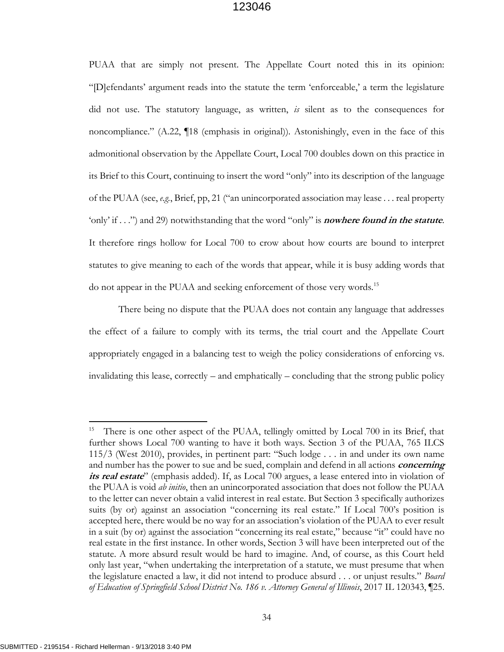PUAA that are simply not present. The Appellate Court noted this in its opinion: "[D]efendants' argument reads into the statute the term 'enforceable,' a term the legislature did not use. The statutory language, as written, *is* silent as to the consequences for noncompliance." (A.22, ¶18 (emphasis in original)). Astonishingly, even in the face of this admonitional observation by the Appellate Court, Local 700 doubles down on this practice in its Brief to this Court, continuing to insert the word "only" into its description of the language of the PUAA (see, *e.g.*, Brief, pp, 21 ("an unincorporated association may lease . . . real property 'only' if . . .") and 29) notwithstanding that the word "only" is **nowhere found in the statute**. It therefore rings hollow for Local 700 to crow about how courts are bound to interpret statutes to give meaning to each of the words that appear, while it is busy adding words that do not appear in the PUAA and seeking enforcement of those very words.<sup>15</sup>

There being no dispute that the PUAA does not contain any language that addresses the effect of a failure to comply with its terms, the trial court and the Appellate Court appropriately engaged in a balancing test to weigh the policy considerations of enforcing vs. invalidating this lease, correctly – and emphatically – concluding that the strong public policy

<sup>15</sup> There is one other aspect of the PUAA, tellingly omitted by Local 700 in its Brief, that further shows Local 700 wanting to have it both ways. Section 3 of the PUAA, 765 ILCS 115/3 (West 2010), provides, in pertinent part: "Such lodge . . . in and under its own name and number has the power to sue and be sued, complain and defend in all actions **concerning its real estate**" (emphasis added). If, as Local 700 argues, a lease entered into in violation of the PUAA is void *ab initio*, then an unincorporated association that does not follow the PUAA to the letter can never obtain a valid interest in real estate. But Section 3 specifically authorizes suits (by or) against an association "concerning its real estate." If Local 700's position is accepted here, there would be no way for an association's violation of the PUAA to ever result in a suit (by or) against the association "concerning its real estate," because "it" could have no real estate in the first instance. In other words, Section 3 will have been interpreted out of the statute. A more absurd result would be hard to imagine. And, of course, as this Court held only last year, "when undertaking the interpretation of a statute, we must presume that when the legislature enacted a law, it did not intend to produce absurd . . . or unjust results." *Board of Education of Springfield School District No. 186 v. Attorney General of Illinois*, 2017 IL 120343, ¶25.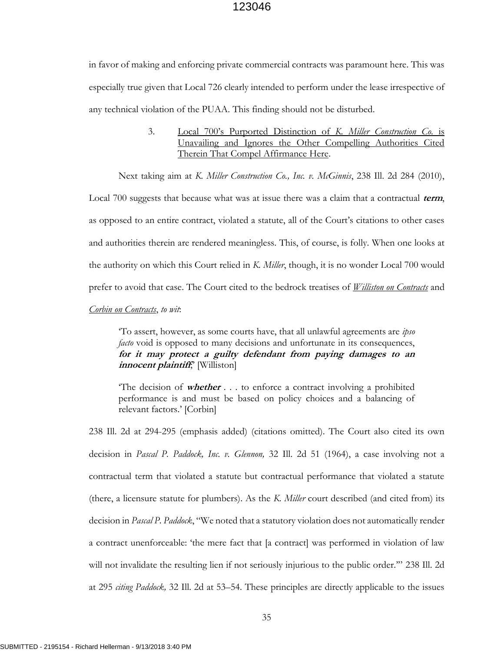in favor of making and enforcing private commercial contracts was paramount here. This was especially true given that Local 726 clearly intended to perform under the lease irrespective of any technical violation of the PUAA. This finding should not be disturbed.

> 3. Local 700's Purported Distinction of *K. Miller Construction Co.* is Unavailing and Ignores the Other Compelling Authorities Cited Therein That Compel Affirmance Here.

Next taking aim at *K. Miller Construction Co., Inc. v. McGinnis*, 238 Ill. 2d 284 (2010),

Local 700 suggests that because what was at issue there was a claim that a contractual **term**, as opposed to an entire contract, violated a statute, all of the Court's citations to other cases and authorities therein are rendered meaningless. This, of course, is folly. When one looks at the authority on which this Court relied in *K. Miller*, though, it is no wonder Local 700 would prefer to avoid that case. The Court cited to the bedrock treatises of *Williston on Contracts* and

*Corbin on Contracts*, *to wit*:

'To assert, however, as some courts have, that all unlawful agreements are *ipso facto* void is opposed to many decisions and unfortunate in its consequences, **for it may protect a guilty defendant from paying damages to an**  *innocent plaintiff*; [Williston]

'The decision of **whether** . . . to enforce a contract involving a prohibited performance is and must be based on policy choices and a balancing of relevant factors.' [Corbin]

238 Ill. 2d at 294-295 (emphasis added) (citations omitted). The Court also cited its own decision in *[Pascal P. Paddock, Inc. v. Glennon,](http://www.westlaw.com/Link/Document/FullText?findType=Y&serNum=1964118094&pubNum=578&originatingDoc=I24f19128c72611df84cb933efb759da4&refType=RP&originationContext=document&vr=3.0&rs=cblt1.0&transitionType=DocumentItem&contextData=(sc.Default))* 32 Ill. 2d 51 (1964), a case involving not a contractual term that violated a statute but contractual performance that violated a statute (there, a licensure statute for plumbers). As the *K. Miller* court described (and cited from) its decision in *Pascal P. Paddock*, "We noted that a statutory violation does not automatically render a contract unenforceable: 'the mere fact that [a contract] was performed in violation of law will not invalidate the resulting lien if not seriously injurious to the public order.'" 238 Ill. 2d at 295 *citing Paddock,* 32 Ill. [2d at 53](http://www.westlaw.com/Link/Document/FullText?findType=Y&serNum=1964118094&pubNum=578&originatingDoc=I24f19128c72611df84cb933efb759da4&refType=RP&originationContext=document&vr=3.0&rs=cblt1.0&transitionType=DocumentItem&contextData=(sc.Default))–54. These principles are directly applicable to the issues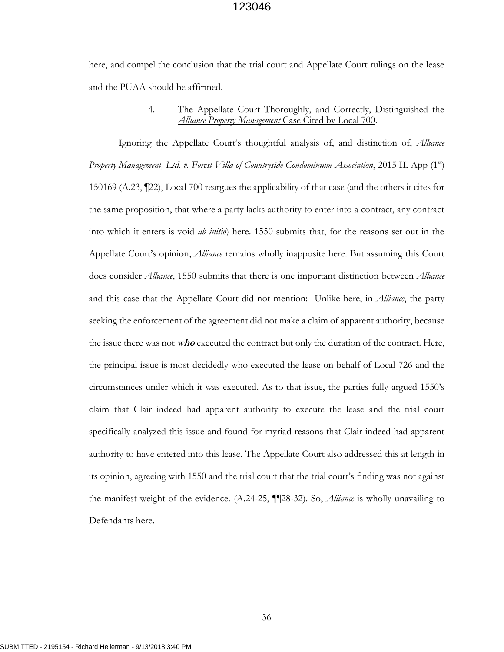here, and compel the conclusion that the trial court and Appellate Court rulings on the lease and the PUAA should be affirmed.

#### 4. The Appellate Court Thoroughly, and Correctly, Distinguished the *Alliance Property Management* Case Cited by Local 700.

Ignoring the Appellate Court's thoughtful analysis of, and distinction of, *Alliance Property Management, Ltd. v. Forest Villa of Countryside Condominium Association*, 2015 IL App (1<sup>st</sup>) 150169 (A.23, ¶22), Local 700 reargues the applicability of that case (and the others it cites for the same proposition, that where a party lacks authority to enter into a contract, any contract into which it enters is void *ab initio*) here. 1550 submits that, for the reasons set out in the Appellate Court's opinion, *Alliance* remains wholly inapposite here. But assuming this Court does consider *Alliance*, 1550 submits that there is one important distinction between *Alliance* and this case that the Appellate Court did not mention: Unlike here, in *Alliance*, the party seeking the enforcement of the agreement did not make a claim of apparent authority, because the issue there was not **who** executed the contract but only the duration of the contract. Here, the principal issue is most decidedly who executed the lease on behalf of Local 726 and the circumstances under which it was executed. As to that issue, the parties fully argued 1550's claim that Clair indeed had apparent authority to execute the lease and the trial court specifically analyzed this issue and found for myriad reasons that Clair indeed had apparent authority to have entered into this lease. The Appellate Court also addressed this at length in its opinion, agreeing with 1550 and the trial court that the trial court's finding was not against the manifest weight of the evidence. (A.24-25, ¶¶28-32). So, *Alliance* is wholly unavailing to Defendants here.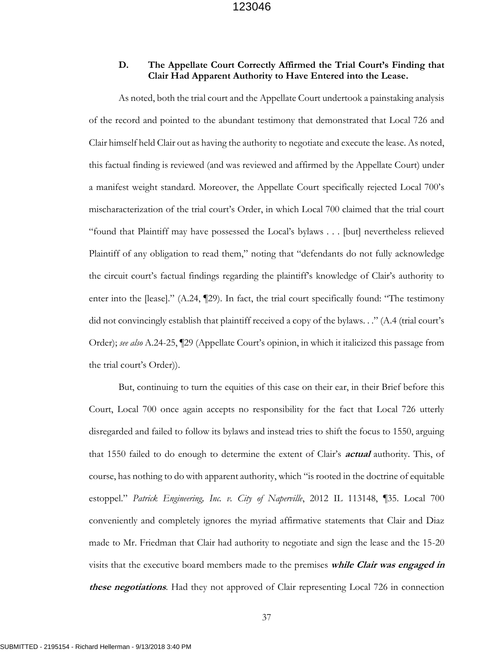#### **D. The Appellate Court Correctly Affirmed the Trial Court's Finding that Clair Had Apparent Authority to Have Entered into the Lease.**

As noted, both the trial court and the Appellate Court undertook a painstaking analysis of the record and pointed to the abundant testimony that demonstrated that Local 726 and Clair himself held Clair out as having the authority to negotiate and execute the lease. As noted, this factual finding is reviewed (and was reviewed and affirmed by the Appellate Court) under a manifest weight standard. Moreover, the Appellate Court specifically rejected Local 700's mischaracterization of the trial court's Order, in which Local 700 claimed that the trial court "found that Plaintiff may have possessed the Local's bylaws . . . [but] nevertheless relieved Plaintiff of any obligation to read them," noting that "defendants do not fully acknowledge the circuit court's factual findings regarding the plaintiff's knowledge of Clair's authority to enter into the [lease]." (A.24, ¶29). In fact, the trial court specifically found: "The testimony did not convincingly establish that plaintiff received a copy of the bylaws. . ." (A.4 (trial court's Order); *see also* A.24-25, ¶29 (Appellate Court's opinion, in which it italicized this passage from the trial court's Order)).

But, continuing to turn the equities of this case on their ear, in their Brief before this Court, Local 700 once again accepts no responsibility for the fact that Local 726 utterly disregarded and failed to follow its bylaws and instead tries to shift the focus to 1550, arguing that 1550 failed to do enough to determine the extent of Clair's **actual** authority. This, of course, has nothing to do with apparent authority, which "is rooted in the doctrine of equitable estoppel." *Patrick Engineering, Inc. v. City of Naperville*, 2012 IL 113148, ¶35. Local 700 conveniently and completely ignores the myriad affirmative statements that Clair and Diaz made to Mr. Friedman that Clair had authority to negotiate and sign the lease and the 15-20 visits that the executive board members made to the premises **while Clair was engaged in these negotiations**. Had they not approved of Clair representing Local 726 in connection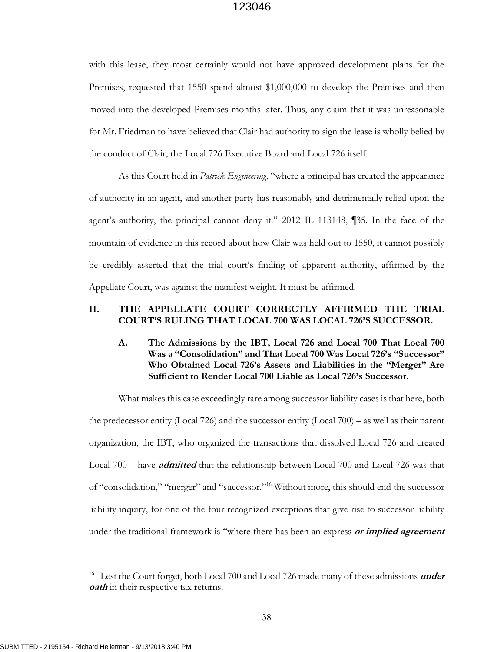with this lease, they most certainly would not have approved development plans for the Premises, requested that 1550 spend almost \$1,000,000 to develop the Premises and then moved into the developed Premises months later. Thus, any claim that it was unreasonable for Mr. Friedman to have believed that Clair had authority to sign the lease is wholly belied by the conduct of Clair, the Local 726 Executive Board and Local 726 itself.

As this Court held in *Patrick Engineering*, "where a principal has created the appearance of authority in an agent, and another party has reasonably and detrimentally relied upon the agent's authority, the principal cannot deny it." 2012 IL 113148, ¶35. In the face of the mountain of evidence in this record about how Clair was held out to 1550, it cannot possibly be credibly asserted that the trial court's finding of apparent authority, affirmed by the Appellate Court, was against the manifest weight. It must be affirmed.

#### **II. THE APPELLATE COURT CORRECTLY AFFIRMED THE TRIAL COURT'S RULING THAT LOCAL 700 WAS LOCAL 726'S SUCCESSOR.**

**A. The Admissions by the IBT, Local 726 and Local 700 That Local 700 Was a "Consolidation" and That Local 700 Was Local 726's "Successor" Who Obtained Local 726's Assets and Liabilities in the "Merger" Are Sufficient to Render Local 700 Liable as Local 726's Successor.**

What makes this case exceedingly rare among successor liability cases is that here, both the predecessor entity (Local 726) and the successor entity (Local 700) – as well as their parent organization, the IBT, who organized the transactions that dissolved Local 726 and created Local 700 – have **admitted** that the relationship between Local 700 and Local 726 was that of "consolidation," "merger" and "successor."<sup>16</sup> Without more, this should end the successor liability inquiry, for one of the four recognized exceptions that give rise to successor liability under the traditional framework is "where there has been an express **or implied agreement** 

<sup>&</sup>lt;sup>16</sup> Lest the Court forget, both Local 700 and Local 726 made many of these admissions *under* **oath** in their respective tax returns.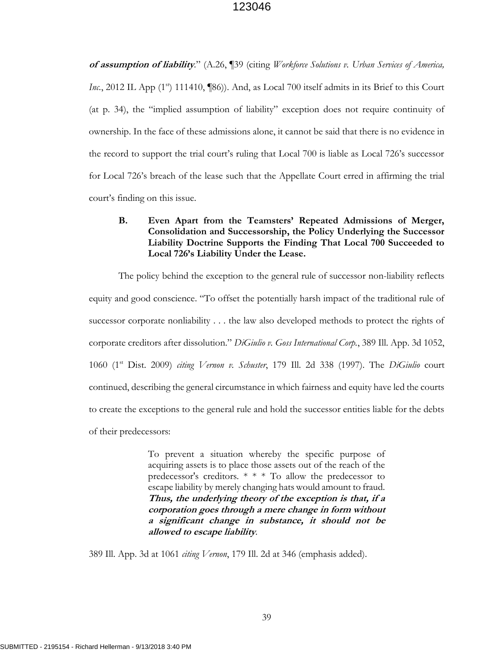**of assumption of liability**." (A.26, ¶39 (citing *Workforce Solutions v. Urban Services of America, Inc.*, 2012 IL App  $(1^{st})$  111410,  $\llbracket 86$ ). And, as Local 700 itself admits in its Brief to this Court (at p. 34), the "implied assumption of liability" exception does not require continuity of ownership. In the face of these admissions alone, it cannot be said that there is no evidence in the record to support the trial court's ruling that Local 700 is liable as Local 726's successor for Local 726's breach of the lease such that the Appellate Court erred in affirming the trial court's finding on this issue.

## **B. Even Apart from the Teamsters' Repeated Admissions of Merger, Consolidation and Successorship, the Policy Underlying the Successor Liability Doctrine Supports the Finding That Local 700 Succeeded to Local 726's Liability Under the Lease.**

The policy behind the exception to the general rule of successor non-liability reflects equity and good conscience. "To offset the potentially harsh impact of the traditional rule of successor corporate nonliability . . . the law also developed methods to protect the rights of corporate creditors after dissolution." *DiGiulio v. Goss International Corp.*, 389 Ill. App. 3d 1052, 1060 (1st Dist. 2009) *citing Vernon v. Schuster*, 179 Ill. 2d 338 (1997). The *DiGiulio* court continued, describing the general circumstance in which fairness and equity have led the courts to create the exceptions to the general rule and hold the successor entities liable for the debts of their predecessors:

> To prevent a situation whereby the specific purpose of acquiring assets is to place those assets out of the reach of the predecessor's creditors. \* \* \* To allow the predecessor to escape liability by merely changing hats would amount to fraud. **Thus, the underlying theory of the exception is that, if a corporation goes through a mere change in form without a significant change in substance, it should not be allowed to escape liability**.

389 Ill. App. 3d at 1061 *citing Vernon*, 179 Ill. 2d at 346 (emphasis added).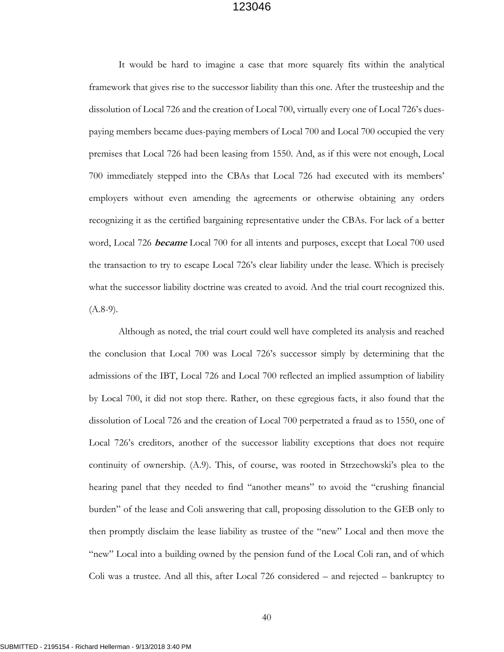It would be hard to imagine a case that more squarely fits within the analytical framework that gives rise to the successor liability than this one. After the trusteeship and the dissolution of Local 726 and the creation of Local 700, virtually every one of Local 726's duespaying members became dues-paying members of Local 700 and Local 700 occupied the very premises that Local 726 had been leasing from 1550. And, as if this were not enough, Local 700 immediately stepped into the CBAs that Local 726 had executed with its members' employers without even amending the agreements or otherwise obtaining any orders recognizing it as the certified bargaining representative under the CBAs. For lack of a better word, Local 726 **became** Local 700 for all intents and purposes, except that Local 700 used the transaction to try to escape Local 726's clear liability under the lease. Which is precisely what the successor liability doctrine was created to avoid. And the trial court recognized this.  $(A.8-9).$ 

Although as noted, the trial court could well have completed its analysis and reached the conclusion that Local 700 was Local 726's successor simply by determining that the admissions of the IBT, Local 726 and Local 700 reflected an implied assumption of liability by Local 700, it did not stop there. Rather, on these egregious facts, it also found that the dissolution of Local 726 and the creation of Local 700 perpetrated a fraud as to 1550, one of Local 726's creditors, another of the successor liability exceptions that does not require continuity of ownership. (A.9). This, of course, was rooted in Strzechowski's plea to the hearing panel that they needed to find "another means" to avoid the "crushing financial burden" of the lease and Coli answering that call, proposing dissolution to the GEB only to then promptly disclaim the lease liability as trustee of the "new" Local and then move the "new" Local into a building owned by the pension fund of the Local Coli ran, and of which Coli was a trustee. And all this, after Local 726 considered – and rejected – bankruptcy to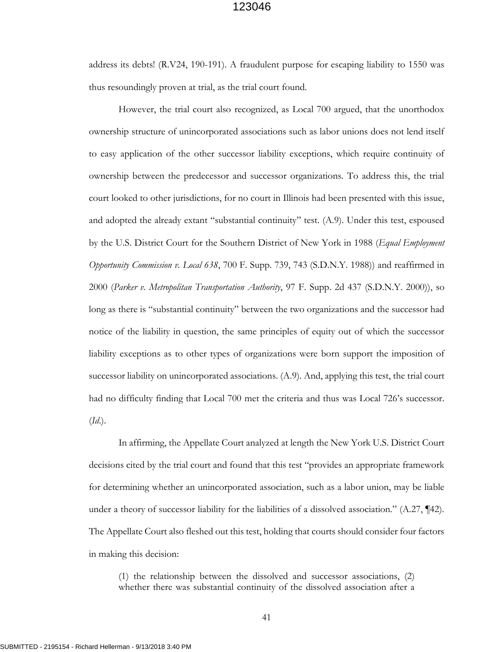address its debts! (R.V24, 190-191). A fraudulent purpose for escaping liability to 1550 was thus resoundingly proven at trial, as the trial court found.

However, the trial court also recognized, as Local 700 argued, that the unorthodox ownership structure of unincorporated associations such as labor unions does not lend itself to easy application of the other successor liability exceptions, which require continuity of ownership between the predecessor and successor organizations. To address this, the trial court looked to other jurisdictions, for no court in Illinois had been presented with this issue, and adopted the already extant "substantial continuity" test. (A.9). Under this test, espoused by the U.S. District Court for the Southern District of New York in 1988 (*Equal Employment Opportunity Commission v. Local 638*, 700 F. Supp. 739, 743 (S.D.N.Y. 1988)) and reaffirmed in 2000 (*Parker v. Metropolitan Transportation Authority*, 97 F. Supp. 2d 437 (S.D.N.Y. 2000)), so long as there is "substantial continuity" between the two organizations and the successor had notice of the liability in question, the same principles of equity out of which the successor liability exceptions as to other types of organizations were born support the imposition of successor liability on unincorporated associations. (A.9). And, applying this test, the trial court had no difficulty finding that Local 700 met the criteria and thus was Local 726's successor. (*Id*.).

In affirming, the Appellate Court analyzed at length the New York U.S. District Court decisions cited by the trial court and found that this test "provides an appropriate framework for determining whether an unincorporated association, such as a labor union, may be liable under a theory of successor liability for the liabilities of a dissolved association." (A.27, ¶42). The Appellate Court also fleshed out this test, holding that courts should consider four factors in making this decision:

(1) the relationship between the dissolved and successor associations, (2) whether there was substantial continuity of the dissolved association after a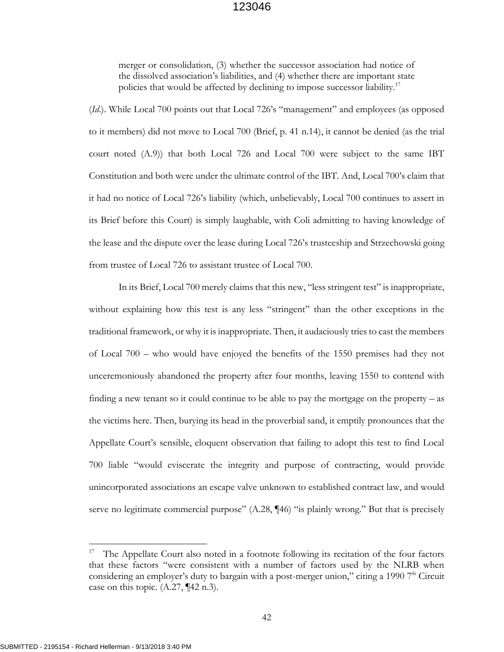merger or consolidation, (3) whether the successor association had notice of the dissolved association's liabilities, and (4) whether there are important state policies that would be affected by declining to impose successor liability.<sup>17</sup>

(*Id*.). While Local 700 points out that Local 726's "management" and employees (as opposed to it members) did not move to Local 700 (Brief, p. 41 n.14), it cannot be denied (as the trial court noted (A.9)) that both Local 726 and Local 700 were subject to the same IBT Constitution and both were under the ultimate control of the IBT. And, Local 700's claim that it had no notice of Local 726's liability (which, unbelievably, Local 700 continues to assert in its Brief before this Court) is simply laughable, with Coli admitting to having knowledge of the lease and the dispute over the lease during Local 726's trusteeship and Strzechowski going from trustee of Local 726 to assistant trustee of Local 700.

In its Brief, Local 700 merely claims that this new, "less stringent test" is inappropriate, without explaining how this test is any less "stringent" than the other exceptions in the traditional framework, or why it is inappropriate. Then, it audaciously tries to cast the members of Local 700 – who would have enjoyed the benefits of the 1550 premises had they not unceremoniously abandoned the property after four months, leaving 1550 to contend with finding a new tenant so it could continue to be able to pay the mortgage on the property – as the victims here. Then, burying its head in the proverbial sand, it emptily pronounces that the Appellate Court's sensible, eloquent observation that failing to adopt this test to find Local 700 liable "would eviscerate the integrity and purpose of contracting, would provide unincorporated associations an escape valve unknown to established contract law, and would serve no legitimate commercial purpose" (A.28, ¶46) "is plainly wrong." But that is precisely

<sup>&</sup>lt;sup>17</sup> The Appellate Court also noted in a footnote following its recitation of the four factors that these factors "were consistent with a number of factors used by the NLRB when considering an employer's duty to bargain with a post-merger union," citing a 1990  $7<sup>th</sup>$  Circuit case on this topic.  $(A.27, \P{42} \n n.3)$ .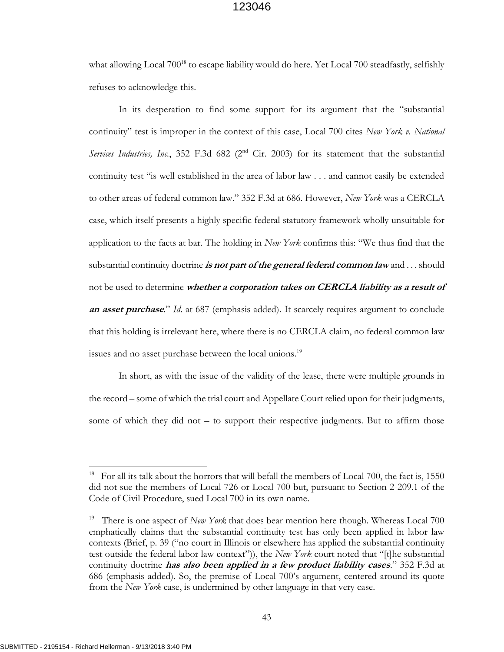what allowing Local 700<sup>18</sup> to escape liability would do here. Yet Local 700 steadfastly, selfishly refuses to acknowledge this.

In its desperation to find some support for its argument that the "substantial continuity" test is improper in the context of this case, Local 700 cites *New York v. National*  Services Industries, Inc., 352 F.3d 682 (2<sup>nd</sup> Cir. 2003) for its statement that the substantial continuity test "is well established in the area of labor law . . . and cannot easily be extended to other areas of federal common law." 352 F.3d at 686. However, *New York* was a CERCLA case, which itself presents a highly specific federal statutory framework wholly unsuitable for application to the facts at bar. The holding in *New York* confirms this: "We thus find that the substantial continuity doctrine *is not part of the general federal common law* and . . . should not be used to determine **whether a corporation takes on CERCLA liability as a result of an asset purchase.**" *Id.* at 687 (emphasis added). It scarcely requires argument to conclude that this holding is irrelevant here, where there is no CERCLA claim, no federal common law issues and no asset purchase between the local unions.<sup>19</sup>

In short, as with the issue of the validity of the lease, there were multiple grounds in the record – some of which the trial court and Appellate Court relied upon for their judgments, some of which they did not – to support their respective judgments. But to affirm those

<sup>&</sup>lt;sup>18</sup> For all its talk about the horrors that will befall the members of Local 700, the fact is, 1550 did not sue the members of Local 726 or Local 700 but, pursuant to Section 2-209.1 of the Code of Civil Procedure, sued Local 700 in its own name.

<sup>&</sup>lt;sup>19</sup> There is one aspect of *New York* that does bear mention here though. Whereas Local 700 emphatically claims that the substantial continuity test has only been applied in labor law contexts (Brief, p. 39 ("no court in Illinois or elsewhere has applied the substantial continuity test outside the federal labor law context")), the *New York* court noted that "[t]he substantial continuity doctrine **has also been applied in a few product liability cases**." 352 F.3d at 686 (emphasis added). So, the premise of Local 700's argument, centered around its quote from the *New York* case, is undermined by other language in that very case.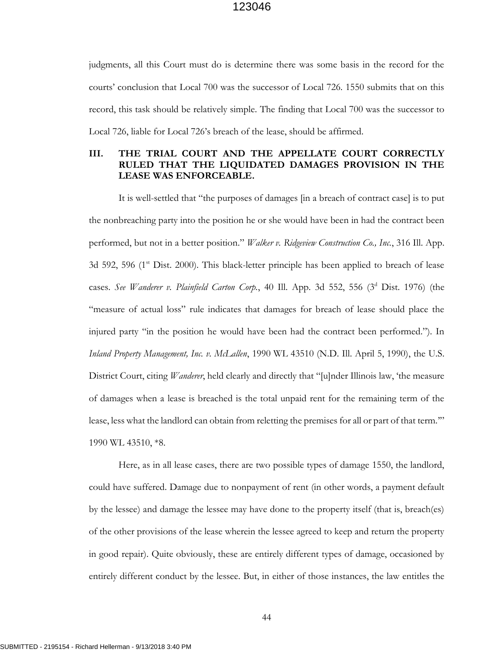judgments, all this Court must do is determine there was some basis in the record for the courts' conclusion that Local 700 was the successor of Local 726. 1550 submits that on this record, this task should be relatively simple. The finding that Local 700 was the successor to Local 726, liable for Local 726's breach of the lease, should be affirmed.

## **III. THE TRIAL COURT AND THE APPELLATE COURT CORRECTLY RULED THAT THE LIQUIDATED DAMAGES PROVISION IN THE LEASE WAS ENFORCEABLE.**

It is well-settled that "the purposes of damages [in a breach of contract case] is to put the nonbreaching party into the position he or she would have been in had the contract been performed, but not in a better position." *Walker v. Ridgeview Construction Co., Inc.*, 316 Ill. App. 3d 592, 596 (1<sup>st</sup> Dist. 2000). This black-letter principle has been applied to breach of lease cases. *See Wanderer v. Plainfield Carton Corp.*, 40 Ill. App. 3d 552, 556 (3<sup>d</sup> Dist. 1976) (the "measure of actual loss" rule indicates that damages for breach of lease should place the injured party "in the position he would have been had the contract been performed."). In *Inland Property Management, Inc. v. McLallen*, 1990 WL 43510 (N.D. Ill. April 5, 1990), the U.S. District Court, citing *Wanderer*, held clearly and directly that "[u]nder Illinois law, 'the measure of damages when a lease is breached is the total unpaid rent for the remaining term of the lease, less what the landlord can obtain from reletting the premises for all or part of that term.'" 1990 WL 43510, \*8.

Here, as in all lease cases, there are two possible types of damage 1550, the landlord, could have suffered. Damage due to nonpayment of rent (in other words, a payment default by the lessee) and damage the lessee may have done to the property itself (that is, breach(es) of the other provisions of the lease wherein the lessee agreed to keep and return the property in good repair). Quite obviously, these are entirely different types of damage, occasioned by entirely different conduct by the lessee. But, in either of those instances, the law entitles the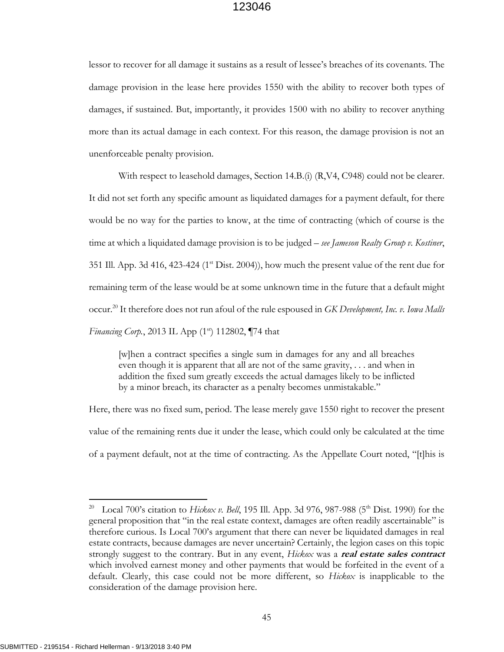lessor to recover for all damage it sustains as a result of lessee's breaches of its covenants. The damage provision in the lease here provides 1550 with the ability to recover both types of damages, if sustained. But, importantly, it provides 1500 with no ability to recover anything more than its actual damage in each context. For this reason, the damage provision is not an unenforceable penalty provision.

With respect to leasehold damages, Section 14.B.(i) (R,V4, C948) could not be clearer. It did not set forth any specific amount as liquidated damages for a payment default, for there would be no way for the parties to know, at the time of contracting (which of course is the time at which a liquidated damage provision is to be judged – *see Jameson Realty Group v. Kostiner*, 351 Ill. App. 3d 416, 423-424 ( $1<sup>st</sup>$  Dist. 2004)), how much the present value of the rent due for remaining term of the lease would be at some unknown time in the future that a default might occur.<sup>20</sup> It therefore does not run afoul of the rule espoused in *GK Development, Inc. v. Iowa Malls Financing Corp.*, 2013 IL App (1<sup>st</sup>) 112802, ¶74 that

[w]hen a contract specifies a single sum in damages for any and all breaches even though it is apparent that all are not of the same gravity, . . . and when in addition the fixed sum greatly exceeds the actual damages likely to be inflicted by a minor breach, its character as a penalty becomes unmistakable."

Here, there was no fixed sum, period. The lease merely gave 1550 right to recover the present value of the remaining rents due it under the lease, which could only be calculated at the time of a payment default, not at the time of contracting. As the Appellate Court noted, "[t]his is

<sup>&</sup>lt;sup>20</sup> Local 700's citation to *Hickox v. Bell*, 195 Ill. App. 3d 976, 987-988 (5<sup>th</sup> Dist. 1990) for the general proposition that "in the real estate context, damages are often readily ascertainable" is therefore curious. Is Local 700's argument that there can never be liquidated damages in real estate contracts, because damages are never uncertain? Certainly, the legion cases on this topic strongly suggest to the contrary. But in any event, *Hickox* was a **real estate sales contract** which involved earnest money and other payments that would be forfeited in the event of a default. Clearly, this case could not be more different, so *Hickox* is inapplicable to the consideration of the damage provision here.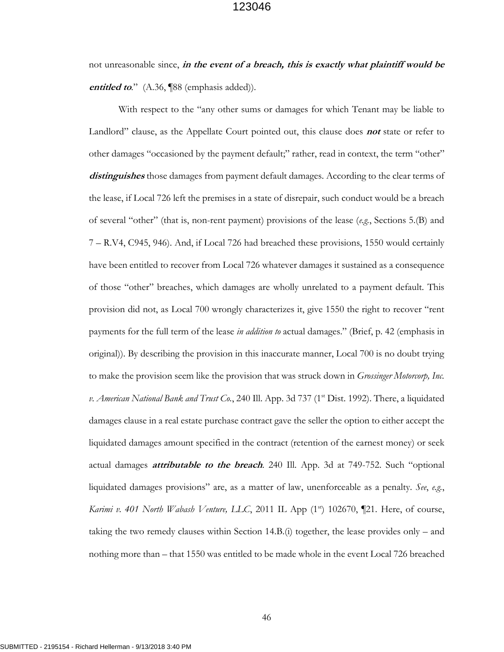not unreasonable since, **in the event of a breach, this is exactly what plaintiff would be entitled to**." (A.36, ¶88 (emphasis added)).

With respect to the "any other sums or damages for which Tenant may be liable to Landlord" clause, as the Appellate Court pointed out, this clause does **not** state or refer to other damages "occasioned by the payment default;" rather, read in context, the term "other" distinguishes those damages from payment default damages. According to the clear terms of the lease, if Local 726 left the premises in a state of disrepair, such conduct would be a breach of several "other" (that is, non-rent payment) provisions of the lease (*e.g.*, Sections 5.(B) and 7 – R.V4, C945, 946). And, if Local 726 had breached these provisions, 1550 would certainly have been entitled to recover from Local 726 whatever damages it sustained as a consequence of those "other" breaches, which damages are wholly unrelated to a payment default. This provision did not, as Local 700 wrongly characterizes it, give 1550 the right to recover "rent payments for the full term of the lease *in addition to* actual damages." (Brief, p. 42 (emphasis in original)). By describing the provision in this inaccurate manner, Local 700 is no doubt trying to make the provision seem like the provision that was struck down in *Grossinger Motorcorp, Inc. v. American National Bank and Trust Co.*, 240 Ill. App. 3d 737 (1<sup>st</sup> Dist. 1992). There, a liquidated damages clause in a real estate purchase contract gave the seller the option to either accept the liquidated damages amount specified in the contract (retention of the earnest money) or seek actual damages **attributable to the breach**. 240 Ill. App. 3d at 749-752. Such "optional liquidated damages provisions" are, as a matter of law, unenforceable as a penalty. *See*, *e.g.*, *Karimi v. 401 North Wabash Venture, LLC*, 2011 IL App (1<sup>st</sup>) 102670, ¶21. Here, of course, taking the two remedy clauses within Section 14.B.(i) together, the lease provides only – and nothing more than – that 1550 was entitled to be made whole in the event Local 726 breached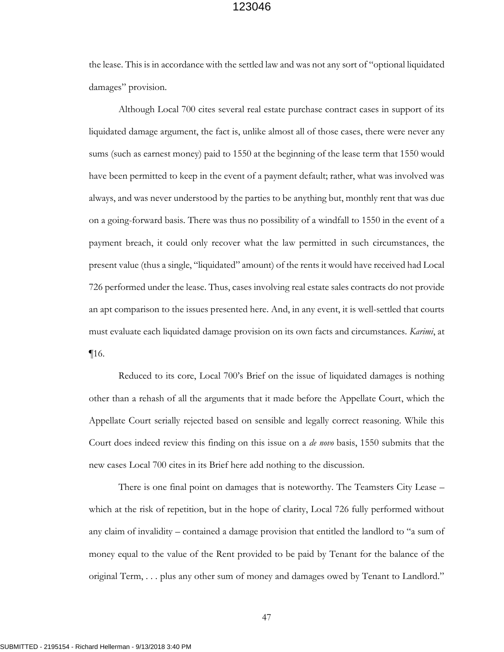the lease. This is in accordance with the settled law and was not any sort of "optional liquidated damages" provision.

Although Local 700 cites several real estate purchase contract cases in support of its liquidated damage argument, the fact is, unlike almost all of those cases, there were never any sums (such as earnest money) paid to 1550 at the beginning of the lease term that 1550 would have been permitted to keep in the event of a payment default; rather, what was involved was always, and was never understood by the parties to be anything but, monthly rent that was due on a going-forward basis. There was thus no possibility of a windfall to 1550 in the event of a payment breach, it could only recover what the law permitted in such circumstances, the present value (thus a single, "liquidated" amount) of the rents it would have received had Local 726 performed under the lease. Thus, cases involving real estate sales contracts do not provide an apt comparison to the issues presented here. And, in any event, it is well-settled that courts must evaluate each liquidated damage provision on its own facts and circumstances. *Karimi*, at ¶16.

Reduced to its core, Local 700's Brief on the issue of liquidated damages is nothing other than a rehash of all the arguments that it made before the Appellate Court, which the Appellate Court serially rejected based on sensible and legally correct reasoning. While this Court does indeed review this finding on this issue on a *de novo* basis, 1550 submits that the new cases Local 700 cites in its Brief here add nothing to the discussion.

There is one final point on damages that is noteworthy. The Teamsters City Lease – which at the risk of repetition, but in the hope of clarity, Local 726 fully performed without any claim of invalidity – contained a damage provision that entitled the landlord to "a sum of money equal to the value of the Rent provided to be paid by Tenant for the balance of the original Term, . . . plus any other sum of money and damages owed by Tenant to Landlord."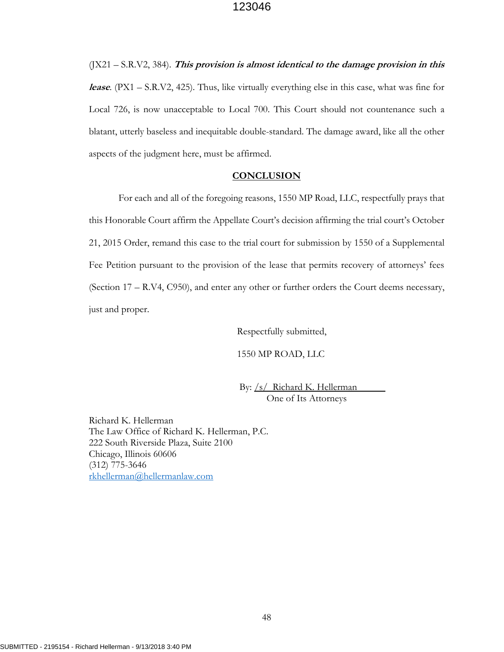(JX21 – S.R.V2, 384). **This provision is almost identical to the damage provision in this lease**. (PX1 – S.R.V2, 425). Thus, like virtually everything else in this case, what was fine for Local 726, is now unacceptable to Local 700. This Court should not countenance such a blatant, utterly baseless and inequitable double-standard. The damage award, like all the other aspects of the judgment here, must be affirmed.

#### **CONCLUSION**

For each and all of the foregoing reasons, 1550 MP Road, LLC, respectfully prays that this Honorable Court affirm the Appellate Court's decision affirming the trial court's October 21, 2015 Order, remand this case to the trial court for submission by 1550 of a Supplemental Fee Petition pursuant to the provision of the lease that permits recovery of attorneys' fees (Section 17 – R.V4, C950), and enter any other or further orders the Court deems necessary, just and proper.

Respectfully submitted,

1550 MP ROAD, LLC

By: /s/ Richard K. Hellerman One of Its Attorneys

Richard K. Hellerman The Law Office of Richard K. Hellerman, P.C. 222 South Riverside Plaza, Suite 2100 Chicago, Illinois 60606 (312) 775-3646 [rkhellerman@hellermanlaw.com](mailto:rkhellerman@hellermanlaw.com)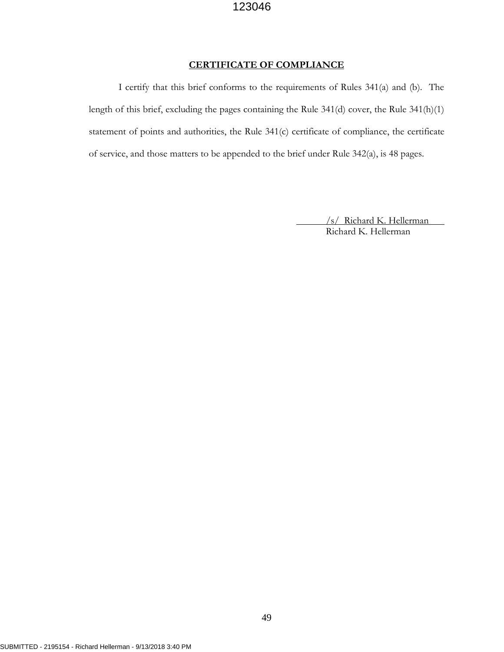## **CERTIFICATE OF COMPLIANCE**

I certify that this brief conforms to the requirements of Rules 341(a) and (b). The length of this brief, excluding the pages containing the Rule 341(d) cover, the Rule 341(h)(1) statement of points and authorities, the Rule 341(c) certificate of compliance, the certificate of service, and those matters to be appended to the brief under Rule 342(a), is 48 pages.

> /s/ Richard K. Hellerman Richard K. Hellerman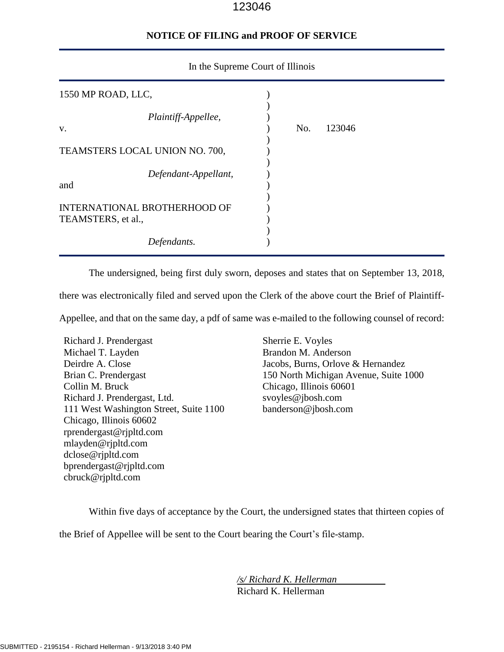## **NOTICE OF FILING and PROOF OF SERVICE**

| 1550 MP ROAD, LLC,                                        |     |        |  |
|-----------------------------------------------------------|-----|--------|--|
| Plaintiff-Appellee,<br>V.                                 | No. | 123046 |  |
| TEAMSTERS LOCAL UNION NO. 700,                            |     |        |  |
| Defendant-Appellant,<br>and                               |     |        |  |
| <b>INTERNATIONAL BROTHERHOOD OF</b><br>TEAMSTERS, et al., |     |        |  |
| Defendants.                                               |     |        |  |

#### In the Supreme Court of Illinois

The undersigned, being first duly sworn, deposes and states that on September 13, 2018,

there was electronically filed and served upon the Clerk of the above court the Brief of Plaintiff-

Appellee, and that on the same day, a pdf of same was e-mailed to the following counsel of record:

Richard J. Prendergast Michael T. Layden Deirdre A. Close Brian C. Prendergast Collin M. Bruck Richard J. Prendergast, Ltd. 111 West Washington Street, Suite 1100 Chicago, Illinois 60602 rprendergast@rjpltd.com mlayden@rjpltd.com dclose@rjpltd.com bprendergast@rjpltd.com cbruck@rjpltd.com

Sherrie E. Voyles Brandon M. Anderson Jacobs, Burns, Orlove & Hernandez 150 North Michigan Avenue, Suite 1000 Chicago, Illinois 60601 svoyles@jbosh.com [banderson@jbosh.com](mailto:banderson@jbosh.com)

Within five days of acceptance by the Court, the undersigned states that thirteen copies of

the Brief of Appellee will be sent to the Court bearing the Court's file-stamp.

*/s/ Richard K. Hellerman* Richard K. Hellerman